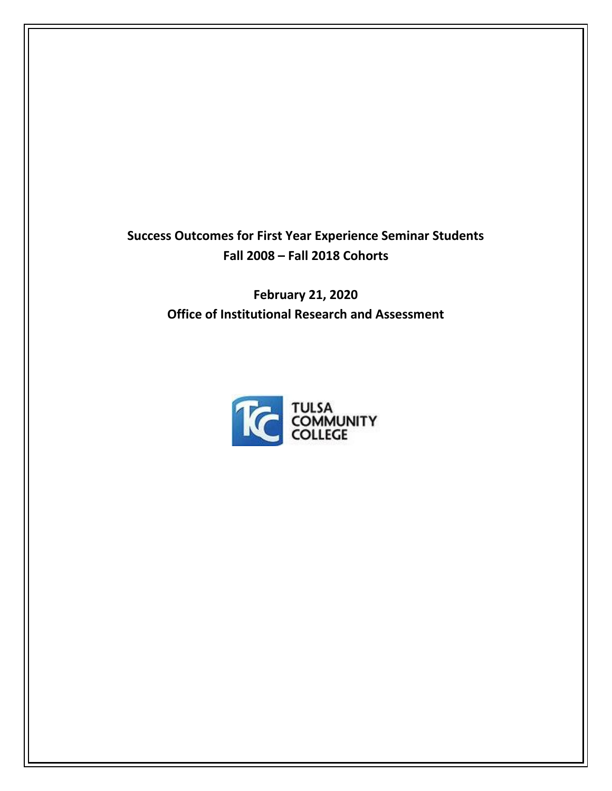**Success Outcomes for First Year Experience Seminar Students Fall 2008 – Fall 2018 Cohorts**

> **February 21, 2020 Office of Institutional Research and Assessment**

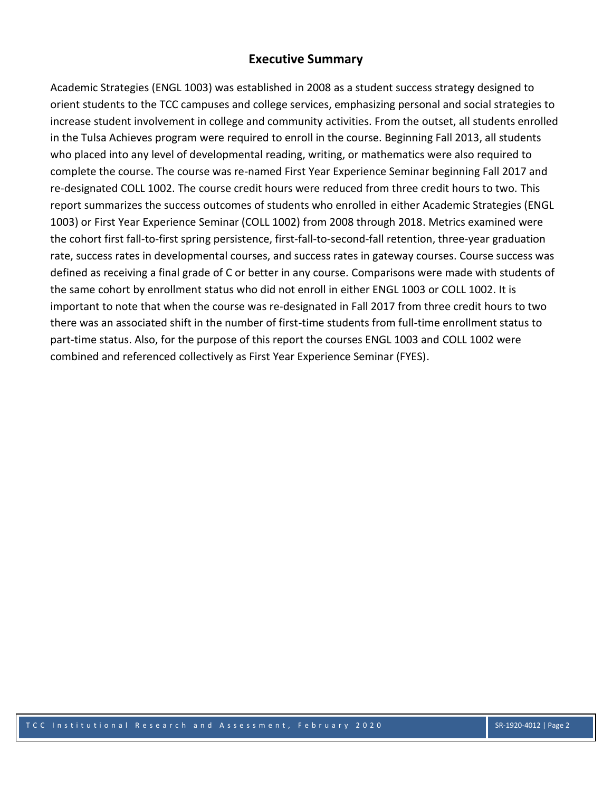# **Executive Summary**

Academic Strategies (ENGL 1003) was established in 2008 as a student success strategy designed to orient students to the TCC campuses and college services, emphasizing personal and social strategies to increase student involvement in college and community activities. From the outset, all students enrolled in the Tulsa Achieves program were required to enroll in the course. Beginning Fall 2013, all students who placed into any level of developmental reading, writing, or mathematics were also required to complete the course. The course was re-named First Year Experience Seminar beginning Fall 2017 and re-designated COLL 1002. The course credit hours were reduced from three credit hours to two. This report summarizes the success outcomes of students who enrolled in either Academic Strategies (ENGL 1003) or First Year Experience Seminar (COLL 1002) from 2008 through 2018. Metrics examined were the cohort first fall-to-first spring persistence, first-fall-to-second-fall retention, three-year graduation rate, success rates in developmental courses, and success rates in gateway courses. Course success was defined as receiving a final grade of C or better in any course. Comparisons were made with students of the same cohort by enrollment status who did not enroll in either ENGL 1003 or COLL 1002. It is important to note that when the course was re-designated in Fall 2017 from three credit hours to two there was an associated shift in the number of first-time students from full-time enrollment status to part-time status. Also, for the purpose of this report the courses ENGL 1003 and COLL 1002 were combined and referenced collectively as First Year Experience Seminar (FYES).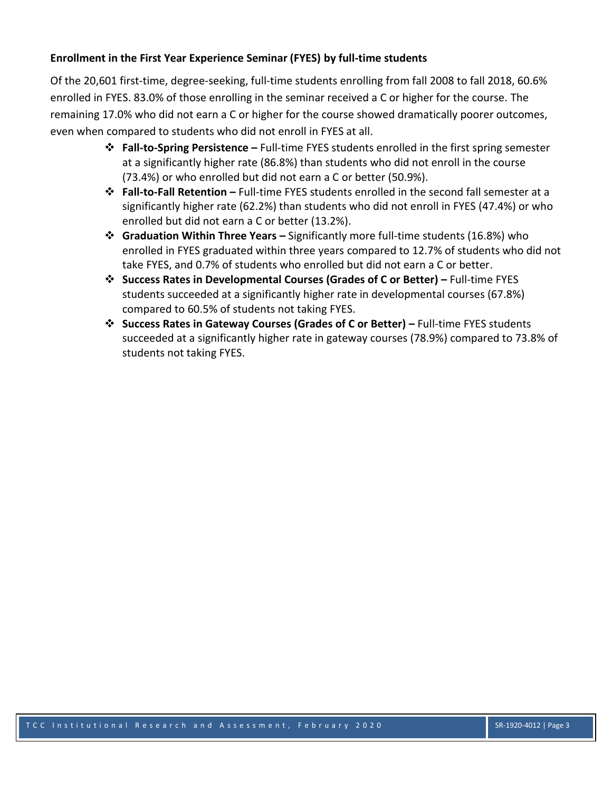## **Enrollment in the First Year Experience Seminar (FYES) by full-time students**

Of the 20,601 first-time, degree-seeking, full-time students enrolling from fall 2008 to fall 2018, 60.6% enrolled in FYES. 83.0% of those enrolling in the seminar received a C or higher for the course. The remaining 17.0% who did not earn a C or higher for the course showed dramatically poorer outcomes, even when compared to students who did not enroll in FYES at all.

- ❖ **Fall-to-Spring Persistence –** Full-time FYES students enrolled in the first spring semester at a significantly higher rate (86.8%) than students who did not enroll in the course (73.4%) or who enrolled but did not earn a C or better (50.9%).
- ❖ **Fall-to-Fall Retention –** Full-time FYES students enrolled in the second fall semester at a significantly higher rate (62.2%) than students who did not enroll in FYES (47.4%) or who enrolled but did not earn a C or better (13.2%).
- ❖ **Graduation Within Three Years –** Significantly more full-time students (16.8%) who enrolled in FYES graduated within three years compared to 12.7% of students who did not take FYES, and 0.7% of students who enrolled but did not earn a C or better.
- ❖ **Success Rates in Developmental Courses (Grades of C or Better) –** Full-time FYES students succeeded at a significantly higher rate in developmental courses (67.8%) compared to 60.5% of students not taking FYES.
- ❖ **Success Rates in Gateway Courses (Grades of C or Better) –** Full-time FYES students succeeded at a significantly higher rate in gateway courses (78.9%) compared to 73.8% of students not taking FYES.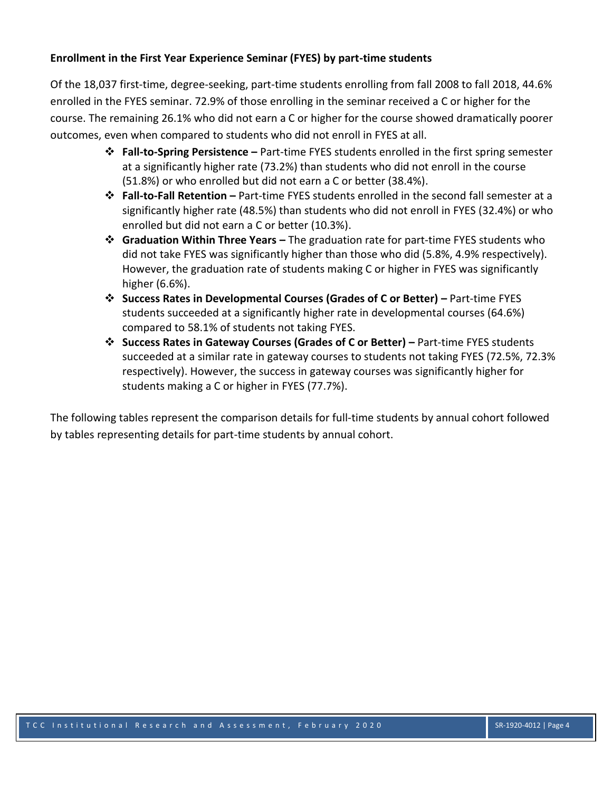# **Enrollment in the First Year Experience Seminar (FYES) by part-time students**

Of the 18,037 first-time, degree-seeking, part-time students enrolling from fall 2008 to fall 2018, 44.6% enrolled in the FYES seminar. 72.9% of those enrolling in the seminar received a C or higher for the course. The remaining 26.1% who did not earn a C or higher for the course showed dramatically poorer outcomes, even when compared to students who did not enroll in FYES at all.

- ❖ **Fall-to-Spring Persistence –** Part-time FYES students enrolled in the first spring semester at a significantly higher rate (73.2%) than students who did not enroll in the course (51.8%) or who enrolled but did not earn a C or better (38.4%).
- ❖ **Fall-to-Fall Retention –** Part-time FYES students enrolled in the second fall semester at a significantly higher rate (48.5%) than students who did not enroll in FYES (32.4%) or who enrolled but did not earn a C or better (10.3%).
- ❖ **Graduation Within Three Years –** The graduation rate for part-time FYES students who did not take FYES was significantly higher than those who did (5.8%, 4.9% respectively). However, the graduation rate of students making C or higher in FYES was significantly higher (6.6%).
- ❖ **Success Rates in Developmental Courses (Grades of C or Better) –** Part-time FYES students succeeded at a significantly higher rate in developmental courses (64.6%) compared to 58.1% of students not taking FYES.
- ❖ **Success Rates in Gateway Courses (Grades of C or Better) –** Part-time FYES students succeeded at a similar rate in gateway courses to students not taking FYES (72.5%, 72.3% respectively). However, the success in gateway courses was significantly higher for students making a C or higher in FYES (77.7%).

The following tables represent the comparison details for full-time students by annual cohort followed by tables representing details for part-time students by annual cohort.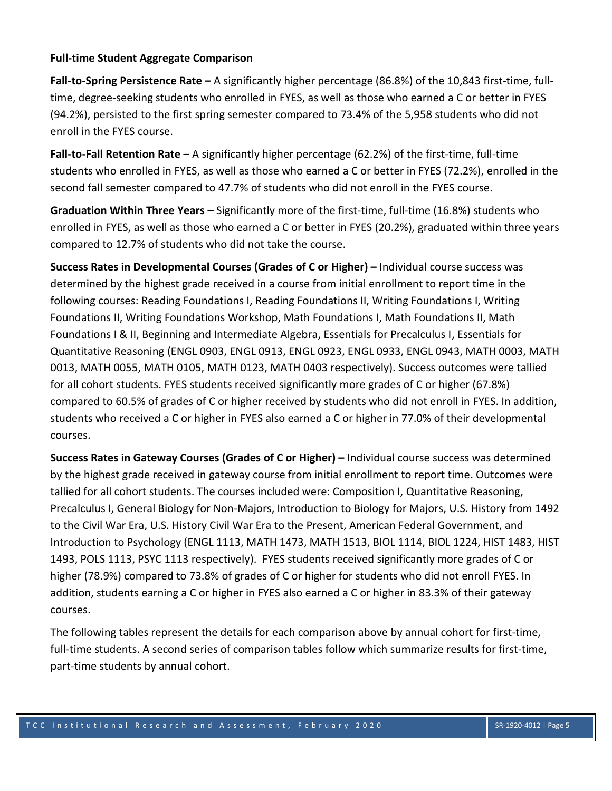#### **Full-time Student Aggregate Comparison**

**Fall-to-Spring Persistence Rate –** A significantly higher percentage (86.8%) of the 10,843 first-time, fulltime, degree-seeking students who enrolled in FYES, as well as those who earned a C or better in FYES (94.2%), persisted to the first spring semester compared to 73.4% of the 5,958 students who did not enroll in the FYES course.

**Fall-to-Fall Retention Rate** – A significantly higher percentage (62.2%) of the first-time, full-time students who enrolled in FYES, as well as those who earned a C or better in FYES (72.2%), enrolled in the second fall semester compared to 47.7% of students who did not enroll in the FYES course.

**Graduation Within Three Years –** Significantly more of the first-time, full-time (16.8%) students who enrolled in FYES, as well as those who earned a C or better in FYES (20.2%), graduated within three years compared to 12.7% of students who did not take the course.

**Success Rates in Developmental Courses (Grades of C or Higher) –** Individual course success was determined by the highest grade received in a course from initial enrollment to report time in the following courses: Reading Foundations I, Reading Foundations II, Writing Foundations I, Writing Foundations II, Writing Foundations Workshop, Math Foundations I, Math Foundations II, Math Foundations I & II, Beginning and Intermediate Algebra, Essentials for Precalculus I, Essentials for Quantitative Reasoning (ENGL 0903, ENGL 0913, ENGL 0923, ENGL 0933, ENGL 0943, MATH 0003, MATH 0013, MATH 0055, MATH 0105, MATH 0123, MATH 0403 respectively). Success outcomes were tallied for all cohort students. FYES students received significantly more grades of C or higher (67.8%) compared to 60.5% of grades of C or higher received by students who did not enroll in FYES. In addition, students who received a C or higher in FYES also earned a C or higher in 77.0% of their developmental courses.

**Success Rates in Gateway Courses (Grades of C or Higher) –** Individual course success was determined by the highest grade received in gateway course from initial enrollment to report time. Outcomes were tallied for all cohort students. The courses included were: Composition I, Quantitative Reasoning, Precalculus I, General Biology for Non-Majors, Introduction to Biology for Majors, U.S. History from 1492 to the Civil War Era, U.S. History Civil War Era to the Present, American Federal Government, and Introduction to Psychology (ENGL 1113, MATH 1473, MATH 1513, BIOL 1114, BIOL 1224, HIST 1483, HIST 1493, POLS 1113, PSYC 1113 respectively). FYES students received significantly more grades of C or higher (78.9%) compared to 73.8% of grades of C or higher for students who did not enroll FYES. In addition, students earning a C or higher in FYES also earned a C or higher in 83.3% of their gateway courses.

The following tables represent the details for each comparison above by annual cohort for first-time, full-time students. A second series of comparison tables follow which summarize results for first-time, part-time students by annual cohort.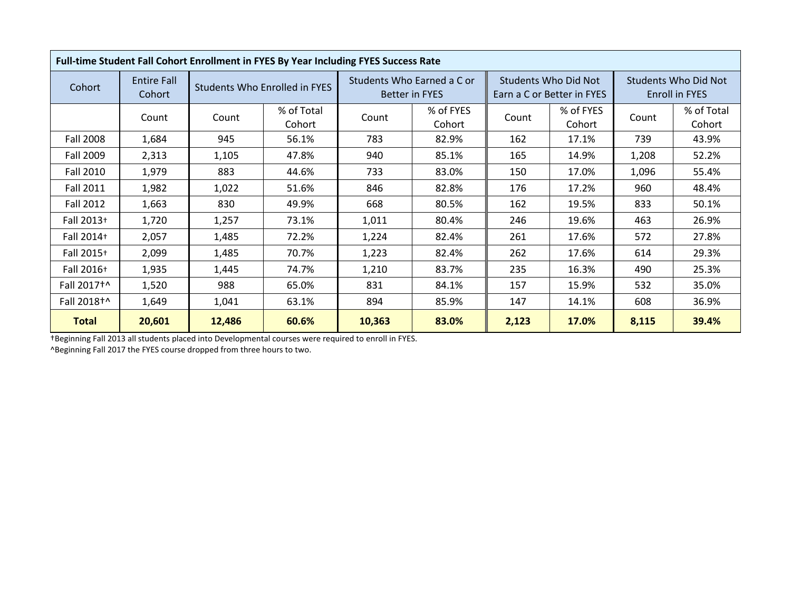|                        |                              |        | Full-time Student Fall Cohort Enrollment in FYES By Year Including FYES Success Rate |        |                                                     |       |                                                    |                                        |                      |
|------------------------|------------------------------|--------|--------------------------------------------------------------------------------------|--------|-----------------------------------------------------|-------|----------------------------------------------------|----------------------------------------|----------------------|
| Cohort                 | <b>Entire Fall</b><br>Cohort |        | Students Who Enrolled in FYES                                                        |        | Students Who Earned a C or<br><b>Better in FYES</b> |       | Students Who Did Not<br>Earn a C or Better in FYES | Students Who Did Not<br>Enroll in FYES |                      |
|                        | Count                        | Count  | % of Total<br>Cohort                                                                 | Count  | % of FYES<br>Cohort                                 | Count | % of FYES<br>Cohort                                | Count                                  | % of Total<br>Cohort |
| <b>Fall 2008</b>       | 1,684                        | 945    | 56.1%                                                                                | 783    | 82.9%                                               | 162   | 17.1%                                              | 739                                    | 43.9%                |
| Fall 2009              | 2,313                        | 1,105  | 47.8%                                                                                | 940    | 85.1%                                               | 165   | 14.9%                                              | 1,208                                  | 52.2%                |
| Fall 2010              | 1,979                        | 883    | 44.6%                                                                                | 733    | 83.0%                                               | 150   | 17.0%                                              | 1,096                                  | 55.4%                |
| Fall 2011              | 1,982                        | 1,022  | 51.6%                                                                                | 846    | 82.8%                                               | 176   | 17.2%                                              | 960                                    | 48.4%                |
| <b>Fall 2012</b>       | 1,663                        | 830    | 49.9%                                                                                | 668    | 80.5%                                               | 162   | 19.5%                                              | 833                                    | 50.1%                |
| Fall 2013+             | 1,720                        | 1,257  | 73.1%                                                                                | 1,011  | 80.4%                                               | 246   | 19.6%                                              | 463                                    | 26.9%                |
| Fall 2014+             | 2,057                        | 1,485  | 72.2%                                                                                | 1,224  | 82.4%                                               | 261   | 17.6%                                              | 572                                    | 27.8%                |
| Fall 2015+             | 2,099                        | 1,485  | 70.7%                                                                                | 1,223  | 82.4%                                               | 262   | 17.6%                                              | 614                                    | 29.3%                |
| Fall 2016+             | 1,935                        | 1,445  | 74.7%                                                                                | 1,210  | 83.7%                                               | 235   | 16.3%                                              | 490                                    | 25.3%                |
| Fall 2017 <sup>+</sup> | 1,520                        | 988    | 65.0%                                                                                | 831    | 84.1%                                               | 157   | 15.9%                                              | 532                                    | 35.0%                |
| Fall 2018 <sup>+</sup> | 1,649                        | 1,041  | 63.1%                                                                                | 894    | 85.9%                                               | 147   | 14.1%                                              | 608                                    | 36.9%                |
| <b>Total</b>           | 20,601                       | 12,486 | 60.6%                                                                                | 10,363 | 83.0%                                               | 2,123 | 17.0%                                              | 8,115                                  | 39.4%                |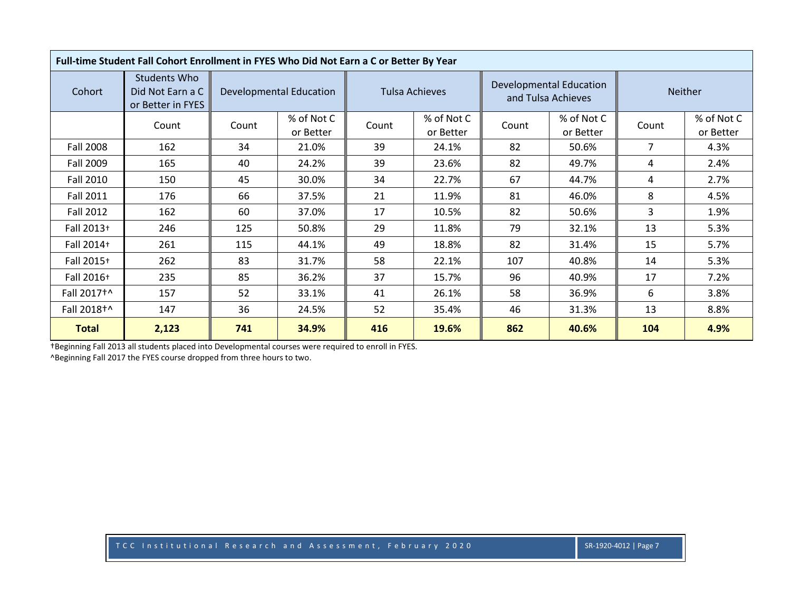|                        | Full-time Student Fall Cohort Enrollment in FYES Who Did Not Earn a C or Better By Year |       |                                |       |                         |       |                                               |                |                         |
|------------------------|-----------------------------------------------------------------------------------------|-------|--------------------------------|-------|-------------------------|-------|-----------------------------------------------|----------------|-------------------------|
| Cohort                 | Students Who<br>Did Not Earn a C<br>or Better in FYES                                   |       | <b>Developmental Education</b> |       | <b>Tulsa Achieves</b>   |       | Developmental Education<br>and Tulsa Achieves |                | <b>Neither</b>          |
|                        | Count                                                                                   | Count | % of Not C<br>or Better        | Count | % of Not C<br>or Better | Count | % of Not C<br>or Better                       | Count          | % of Not C<br>or Better |
| <b>Fall 2008</b>       | 162                                                                                     | 34    | 21.0%                          | 39    | 24.1%                   | 82    | 50.6%                                         | $\overline{7}$ | 4.3%                    |
| Fall 2009              | 165                                                                                     | 40    | 24.2%                          | 39    | 23.6%                   | 82    | 49.7%                                         | 4              | 2.4%                    |
| Fall 2010              | 150                                                                                     | 45    | 30.0%                          | 34    | 22.7%                   | 67    | 44.7%                                         | 4              | 2.7%                    |
| <b>Fall 2011</b>       | 176                                                                                     | 66    | 37.5%                          | 21    | 11.9%                   | 81    | 46.0%                                         | 8              | 4.5%                    |
| <b>Fall 2012</b>       | 162                                                                                     | 60    | 37.0%                          | 17    | 10.5%                   | 82    | 50.6%                                         | 3              | 1.9%                    |
| Fall 2013+             | 246                                                                                     | 125   | 50.8%                          | 29    | 11.8%                   | 79    | 32.1%                                         | 13             | 5.3%                    |
| Fall 2014+             | 261                                                                                     | 115   | 44.1%                          | 49    | 18.8%                   | 82    | 31.4%                                         | 15             | 5.7%                    |
| Fall 2015+             | 262                                                                                     | 83    | 31.7%                          | 58    | 22.1%                   | 107   | 40.8%                                         | 14             | 5.3%                    |
| Fall 2016+             | 235                                                                                     | 85    | 36.2%                          | 37    | 15.7%                   | 96    | 40.9%                                         | 17             | 7.2%                    |
| Fall 2017 <sup>+</sup> | 157                                                                                     | 52    | 33.1%                          | 41    | 26.1%                   | 58    | 36.9%                                         | 6              | 3.8%                    |
| Fall 2018+^            | 147                                                                                     | 36    | 24.5%                          | 52    | 35.4%                   | 46    | 31.3%                                         | 13             | 8.8%                    |
| <b>Total</b>           | 2,123                                                                                   | 741   | 34.9%                          | 416   | 19.6%                   | 862   | 40.6%                                         | 104            | 4.9%                    |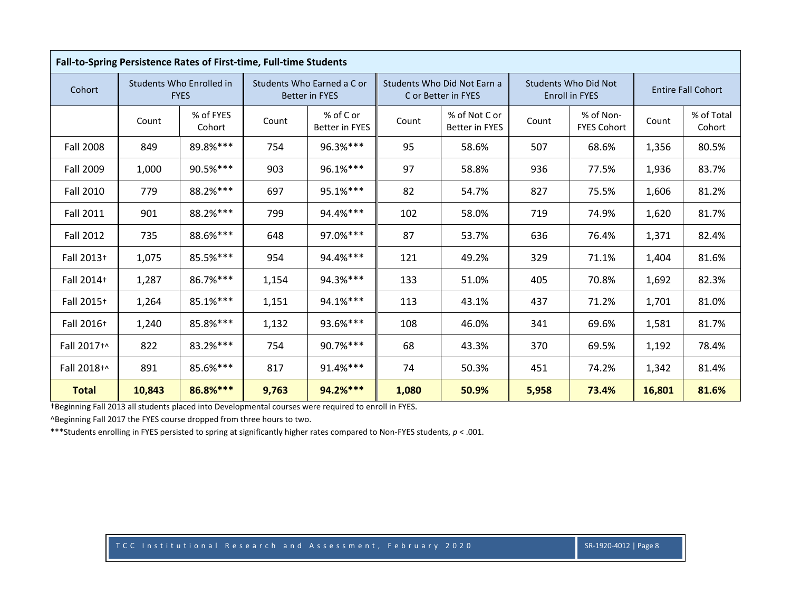|                  |        | Fall-to-Spring Persistence Rates of First-time, Full-time Students |       |                                                     |       |                                                    |       |                                                      |                           |                      |
|------------------|--------|--------------------------------------------------------------------|-------|-----------------------------------------------------|-------|----------------------------------------------------|-------|------------------------------------------------------|---------------------------|----------------------|
| Cohort           |        | Students Who Enrolled in<br><b>FYES</b>                            |       | Students Who Earned a C or<br><b>Better in FYES</b> |       | Students Who Did Not Earn a<br>C or Better in FYES |       | <b>Students Who Did Not</b><br><b>Enroll in FYES</b> | <b>Entire Fall Cohort</b> |                      |
|                  | Count  | % of FYES<br>Cohort                                                | Count | % of C or<br><b>Better in FYES</b>                  | Count | % of Not C or<br><b>Better in FYES</b>             | Count | % of Non-<br><b>FYES Cohort</b>                      | Count                     | % of Total<br>Cohort |
| <b>Fall 2008</b> | 849    | 89.8%***                                                           | 754   | 96.3%***                                            | 95    | 58.6%                                              | 507   | 68.6%                                                | 1,356                     | 80.5%                |
| <b>Fall 2009</b> | 1,000  | 90.5%***                                                           | 903   | 96.1%***                                            | 97    | 58.8%                                              | 936   | 77.5%                                                | 1,936                     | 83.7%                |
| <b>Fall 2010</b> | 779    | 88.2%***                                                           | 697   | 95.1%***                                            | 82    | 54.7%                                              | 827   | 75.5%                                                | 1,606                     | 81.2%                |
| <b>Fall 2011</b> | 901    | 88.2%***                                                           | 799   | 94.4%***                                            | 102   | 58.0%                                              | 719   | 74.9%                                                | 1,620                     | 81.7%                |
| <b>Fall 2012</b> | 735    | 88.6%***                                                           | 648   | 97.0%***                                            | 87    | 53.7%                                              | 636   | 76.4%                                                | 1,371                     | 82.4%                |
| Fall 2013+       | 1,075  | 85.5%***                                                           | 954   | 94.4%***                                            | 121   | 49.2%                                              | 329   | 71.1%                                                | 1,404                     | 81.6%                |
| Fall 2014+       | 1,287  | 86.7%***                                                           | 1,154 | 94.3%***                                            | 133   | 51.0%                                              | 405   | 70.8%                                                | 1,692                     | 82.3%                |
| Fall 2015+       | 1,264  | 85.1%***                                                           | 1,151 | 94.1%***                                            | 113   | 43.1%                                              | 437   | 71.2%                                                | 1,701                     | 81.0%                |
| Fall 2016+       | 1,240  | 85.8%***                                                           | 1,132 | 93.6%***                                            | 108   | 46.0%                                              | 341   | 69.6%                                                | 1,581                     | 81.7%                |
| Fall 2017+^      | 822    | 83.2%***                                                           | 754   | 90.7%***                                            | 68    | 43.3%                                              | 370   | 69.5%                                                | 1,192                     | 78.4%                |
| Fall 2018+^      | 891    | 85.6%***                                                           | 817   | 91.4%***                                            | 74    | 50.3%                                              | 451   | 74.2%                                                | 1,342                     | 81.4%                |
| <b>Total</b>     | 10,843 | 86.8%***                                                           | 9,763 | 94.2%***                                            | 1,080 | 50.9%                                              | 5,958 | 73.4%                                                | 16,801                    | 81.6%                |

^Beginning Fall 2017 the FYES course dropped from three hours to two.

\*\*\*Students enrolling in FYES persisted to spring at significantly higher rates compared to Non-FYES students, *p* < .001.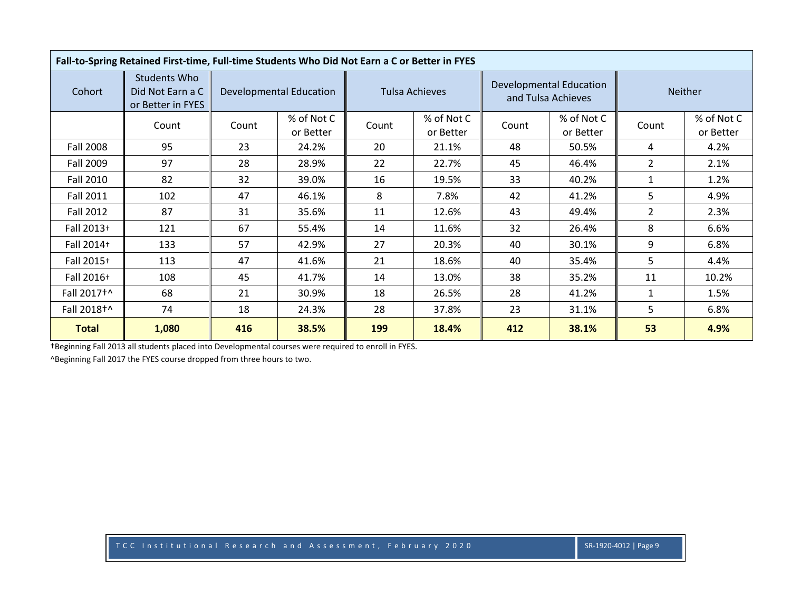|                        | Fall-to-Spring Retained First-time, Full-time Students Who Did Not Earn a C or Better in FYES |       |                                |       |                         |       |                                                      |                |                         |
|------------------------|-----------------------------------------------------------------------------------------------|-------|--------------------------------|-------|-------------------------|-------|------------------------------------------------------|----------------|-------------------------|
| Cohort                 | <b>Students Who</b><br>Did Not Earn a C<br>or Better in FYES                                  |       | <b>Developmental Education</b> |       | <b>Tulsa Achieves</b>   |       | <b>Developmental Education</b><br>and Tulsa Achieves |                | <b>Neither</b>          |
|                        | Count                                                                                         | Count | % of Not C<br>or Better        | Count | % of Not C<br>or Better | Count | % of Not C<br>or Better                              | Count          | % of Not C<br>or Better |
| <b>Fall 2008</b>       | 95                                                                                            | 23    | 24.2%                          | 20    | 21.1%                   | 48    | 50.5%                                                | 4              | 4.2%                    |
| Fall 2009              | 97                                                                                            | 28    | 28.9%                          | 22    | 22.7%                   | 45    | 46.4%                                                | $\overline{2}$ | 2.1%                    |
| <b>Fall 2010</b>       | 82                                                                                            | 32    | 39.0%                          | 16    | 19.5%                   | 33    | 40.2%                                                | 1              | 1.2%                    |
| <b>Fall 2011</b>       | 102                                                                                           | 47    | 46.1%                          | 8     | 7.8%                    | 42    | 41.2%                                                | 5              | 4.9%                    |
| Fall 2012              | 87                                                                                            | 31    | 35.6%                          | 11    | 12.6%                   | 43    | 49.4%                                                | $\overline{2}$ | 2.3%                    |
| Fall 2013+             | 121                                                                                           | 67    | 55.4%                          | 14    | 11.6%                   | 32    | 26.4%                                                | 8              | 6.6%                    |
| Fall 2014+             | 133                                                                                           | 57    | 42.9%                          | 27    | 20.3%                   | 40    | 30.1%                                                | 9              | 6.8%                    |
| Fall 2015+             | 113                                                                                           | 47    | 41.6%                          | 21    | 18.6%                   | 40    | 35.4%                                                | 5.             | 4.4%                    |
| Fall 2016+             | 108                                                                                           | 45    | 41.7%                          | 14    | 13.0%                   | 38    | 35.2%                                                | 11             | 10.2%                   |
| Fall 2017 <sup>+</sup> | 68                                                                                            | 21    | 30.9%                          | 18    | 26.5%                   | 28    | 41.2%                                                | $\mathbf{1}$   | 1.5%                    |
| Fall 2018+^            | 74                                                                                            | 18    | 24.3%                          | 28    | 37.8%                   | 23    | 31.1%                                                | 5              | 6.8%                    |
| <b>Total</b>           | 1,080                                                                                         | 416   | 38.5%                          | 199   | 18.4%                   | 412   | 38.1%                                                | 53             | 4.9%                    |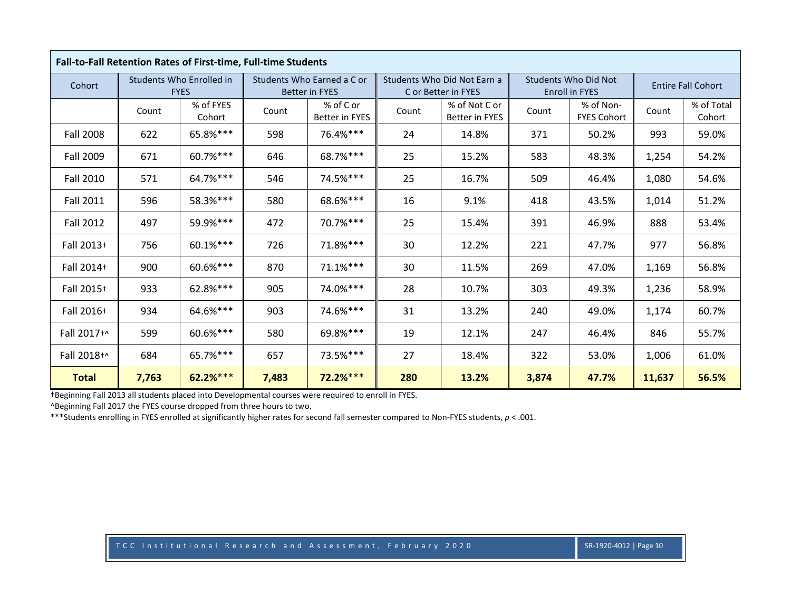|                  |       | Fall-to-Fall Retention Rates of First-time, Full-time Students |       |                                                     |       |                                                    |       |                                                      |        |                           |
|------------------|-------|----------------------------------------------------------------|-------|-----------------------------------------------------|-------|----------------------------------------------------|-------|------------------------------------------------------|--------|---------------------------|
| Cohort           |       | Students Who Enrolled in<br><b>FYES</b>                        |       | Students Who Earned a C or<br><b>Better in FYES</b> |       | Students Who Did Not Earn a<br>C or Better in FYES |       | <b>Students Who Did Not</b><br><b>Enroll in FYES</b> |        | <b>Entire Fall Cohort</b> |
|                  | Count | % of FYES<br>Cohort                                            | Count | % of C or<br><b>Better in FYES</b>                  | Count | % of Not C or<br><b>Better in FYES</b>             | Count | % of Non-<br><b>FYES Cohort</b>                      | Count  | % of Total<br>Cohort      |
| <b>Fall 2008</b> | 622   | 65.8%***                                                       | 598   | 76.4%***                                            | 24    | 14.8%                                              | 371   | 50.2%                                                | 993    | 59.0%                     |
| Fall 2009        | 671   | 60.7%***                                                       | 646   | 68.7%***                                            | 25    | 15.2%                                              | 583   | 48.3%                                                | 1,254  | 54.2%                     |
| <b>Fall 2010</b> | 571   | 64.7%***                                                       | 546   | 74.5%***                                            | 25    | 16.7%                                              | 509   | 46.4%                                                | 1,080  | 54.6%                     |
| <b>Fall 2011</b> | 596   | 58.3%***                                                       | 580   | 68.6%***                                            | 16    | 9.1%                                               | 418   | 43.5%                                                | 1,014  | 51.2%                     |
| <b>Fall 2012</b> | 497   | 59.9%***                                                       | 472   | 70.7%***                                            | 25    | 15.4%                                              | 391   | 46.9%                                                | 888    | 53.4%                     |
| Fall 2013+       | 756   | 60.1%***                                                       | 726   | 71.8%***                                            | 30    | 12.2%                                              | 221   | 47.7%                                                | 977    | 56.8%                     |
| Fall 2014+       | 900   | 60.6%***                                                       | 870   | $71.1%***$                                          | 30    | 11.5%                                              | 269   | 47.0%                                                | 1,169  | 56.8%                     |
| Fall 2015+       | 933   | 62.8%***                                                       | 905   | 74.0%***                                            | 28    | 10.7%                                              | 303   | 49.3%                                                | 1,236  | 58.9%                     |
| Fall 2016+       | 934   | 64.6%***                                                       | 903   | 74.6%***                                            | 31    | 13.2%                                              | 240   | 49.0%                                                | 1,174  | 60.7%                     |
| Fall 2017+^      | 599   | 60.6%***                                                       | 580   | 69.8%***                                            | 19    | 12.1%                                              | 247   | 46.4%                                                | 846    | 55.7%                     |
| Fall 2018+^      | 684   | 65.7%***                                                       | 657   | 73.5%***                                            | 27    | 18.4%                                              | 322   | 53.0%                                                | 1,006  | 61.0%                     |
| <b>Total</b>     | 7,763 | $62.2%***$                                                     | 7,483 | $72.2%***$                                          | 280   | 13.2%                                              | 3,874 | 47.7%                                                | 11,637 | 56.5%                     |

^Beginning Fall 2017 the FYES course dropped from three hours to two.

\*\*\*Students enrolling in FYES enrolled at significantly higher rates for second fall semester compared to Non-FYES students, *p* < .001.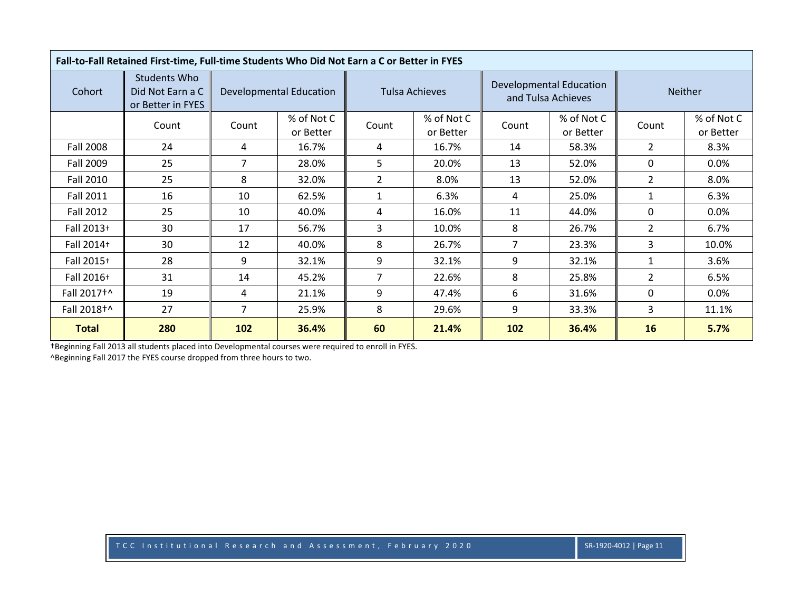|                        | Fall-to-Fall Retained First-time, Full-time Students Who Did Not Earn a C or Better in FYES |                |                                |                |                         |                |                                               |                |                         |
|------------------------|---------------------------------------------------------------------------------------------|----------------|--------------------------------|----------------|-------------------------|----------------|-----------------------------------------------|----------------|-------------------------|
| Cohort                 | <b>Students Who</b><br>Did Not Earn a C<br>or Better in FYES                                |                | <b>Developmental Education</b> |                | <b>Tulsa Achieves</b>   |                | Developmental Education<br>and Tulsa Achieves |                | <b>Neither</b>          |
|                        | Count                                                                                       | Count          | % of Not C<br>or Better        | Count          | % of Not C<br>or Better | Count          | % of Not C<br>or Better                       | Count          | % of Not C<br>or Better |
| <b>Fall 2008</b>       | 24                                                                                          | 4              | 16.7%                          | 4              | 16.7%                   | 14             | 58.3%                                         | $\overline{2}$ | 8.3%                    |
| Fall 2009              | 25                                                                                          | 7              | 28.0%                          | 5              | 20.0%                   | 13             | 52.0%                                         | $\mathbf{0}$   | $0.0\%$                 |
| Fall 2010              | 25                                                                                          | 8              | 32.0%                          | $\overline{2}$ | 8.0%                    | 13             | 52.0%                                         | $\overline{2}$ | 8.0%                    |
| <b>Fall 2011</b>       | 16                                                                                          | 10             | 62.5%                          | $\mathbf{1}$   | 6.3%                    | 4              | 25.0%                                         | 1              | 6.3%                    |
| Fall 2012              | 25                                                                                          | 10             | 40.0%                          | 4              | 16.0%                   | 11             | 44.0%                                         | $\mathbf{0}$   | $0.0\%$                 |
| Fall 2013+             | 30                                                                                          | 17             | 56.7%                          | 3              | 10.0%                   | 8              | 26.7%                                         | $\overline{2}$ | 6.7%                    |
| Fall 2014+             | 30                                                                                          | 12             | 40.0%                          | 8              | 26.7%                   | $\overline{7}$ | 23.3%                                         | 3              | 10.0%                   |
| Fall 2015+             | 28                                                                                          | 9              | 32.1%                          | 9              | 32.1%                   | 9              | 32.1%                                         | $\mathbf{1}$   | 3.6%                    |
| Fall 2016+             | 31                                                                                          | 14             | 45.2%                          | $\overline{7}$ | 22.6%                   | 8              | 25.8%                                         | $\overline{2}$ | 6.5%                    |
| Fall 2017 <sup>+</sup> | 19                                                                                          | 4              | 21.1%                          | 9              | 47.4%                   | 6              | 31.6%                                         | $\mathbf{0}$   | $0.0\%$                 |
| Fall 2018+^            | 27                                                                                          | $\overline{7}$ | 25.9%                          | 8              | 29.6%                   | 9              | 33.3%                                         | 3              | 11.1%                   |
| <b>Total</b>           | 280                                                                                         | 102            | 36.4%                          | 60             | 21.4%                   | 102            | 36.4%                                         | 16             | 5.7%                    |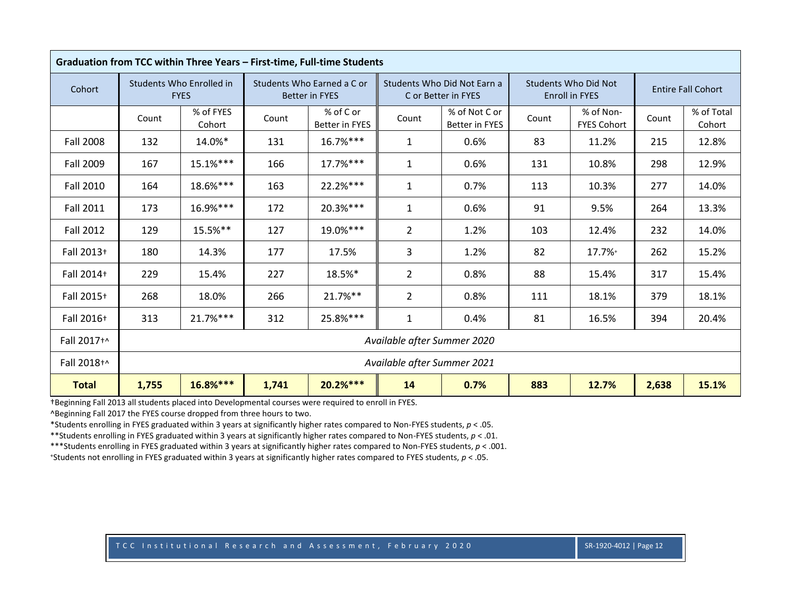|                  |       |                                         |       | Graduation from TCC within Three Years - First-time, Full-time Students |                             |                                                    |       |                                                      |       |                           |
|------------------|-------|-----------------------------------------|-------|-------------------------------------------------------------------------|-----------------------------|----------------------------------------------------|-------|------------------------------------------------------|-------|---------------------------|
| Cohort           |       | Students Who Enrolled in<br><b>FYES</b> |       | Students Who Earned a C or<br><b>Better in FYES</b>                     |                             | Students Who Did Not Earn a<br>C or Better in FYES |       | <b>Students Who Did Not</b><br><b>Enroll in FYES</b> |       | <b>Entire Fall Cohort</b> |
|                  | Count | % of FYES<br>Cohort                     | Count | % of C or<br>Better in FYES                                             | Count                       | % of Not C or<br>Better in FYES                    | Count | % of Non-<br><b>FYES Cohort</b>                      | Count | % of Total<br>Cohort      |
| <b>Fall 2008</b> | 132   | 14.0%*                                  | 131   | 16.7%***                                                                | $\mathbf{1}$                | 0.6%                                               | 83    | 11.2%                                                | 215   | 12.8%                     |
| <b>Fall 2009</b> | 167   | 15.1%***                                | 166   | $17.7%***$                                                              | $\mathbf{1}$                | 0.6%                                               | 131   | 10.8%                                                | 298   | 12.9%                     |
| <b>Fall 2010</b> | 164   | 18.6%***                                | 163   | 22.2%***                                                                | $\mathbf{1}$                | 0.7%                                               | 113   | 10.3%                                                | 277   | 14.0%                     |
| <b>Fall 2011</b> | 173   | 16.9%***                                | 172   | 20.3%***                                                                | $\mathbf{1}$                | 0.6%                                               | 91    | 9.5%                                                 | 264   | 13.3%                     |
| <b>Fall 2012</b> | 129   | 15.5%**                                 | 127   | 19.0%***                                                                | $\overline{2}$              | 1.2%                                               | 103   | 12.4%                                                | 232   | 14.0%                     |
| Fall 2013+       | 180   | 14.3%                                   | 177   | 17.5%                                                                   | 3                           | 1.2%                                               | 82    | 17.7%+                                               | 262   | 15.2%                     |
| Fall 2014+       | 229   | 15.4%                                   | 227   | 18.5%*                                                                  | $\overline{2}$              | 0.8%                                               | 88    | 15.4%                                                | 317   | 15.4%                     |
| Fall 2015+       | 268   | 18.0%                                   | 266   | $21.7%$ **                                                              | $\overline{2}$              | 0.8%                                               | 111   | 18.1%                                                | 379   | 18.1%                     |
| Fall 2016+       | 313   | $21.7%***$                              | 312   | 25.8%***                                                                | $\mathbf{1}$                | 0.4%                                               | 81    | 16.5%                                                | 394   | 20.4%                     |
| Fall 2017+^      |       |                                         |       |                                                                         | Available after Summer 2020 |                                                    |       |                                                      |       |                           |
| Fall 2018+^      |       |                                         |       |                                                                         | Available after Summer 2021 |                                                    |       |                                                      |       |                           |
| <b>Total</b>     | 1,755 | 16.8%***                                | 1,741 | $20.2%***$                                                              | 14                          | 0.7%                                               | 883   | 12.7%                                                | 2,638 | 15.1%                     |

^Beginning Fall 2017 the FYES course dropped from three hours to two.

\*Students enrolling in FYES graduated within 3 years at significantly higher rates compared to Non-FYES students, *p* < .05.

\*\*Students enrolling in FYES graduated within 3 years at significantly higher rates compared to Non-FYES students, *p* < .01.

\*\*\*Students enrolling in FYES graduated within 3 years at significantly higher rates compared to Non-FYES students, *p* < .001.

<sup>+</sup>Students not enrolling in FYES graduated within 3 years at significantly higher rates compared to FYES students, *p* < .05.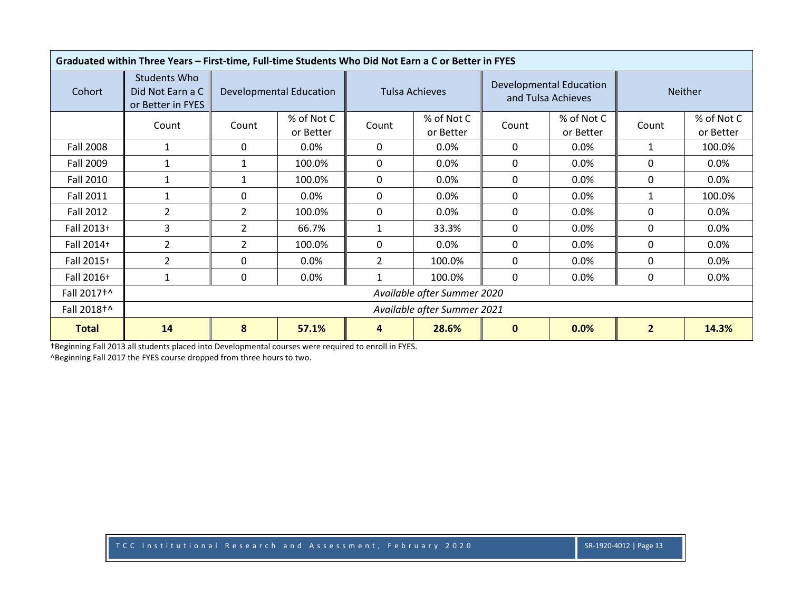|                  | Graduated within Three Years - First-time, Full-time Students Who Did Not Earn a C or Better in FYES |                |                                |                |                             |              |                                                      |                |                         |
|------------------|------------------------------------------------------------------------------------------------------|----------------|--------------------------------|----------------|-----------------------------|--------------|------------------------------------------------------|----------------|-------------------------|
| Cohort           | Students Who<br>Did Not Earn a C<br>or Better in FYES                                                |                | <b>Developmental Education</b> |                | Tulsa Achieves              |              | <b>Developmental Education</b><br>and Tulsa Achieves |                | <b>Neither</b>          |
|                  | Count                                                                                                | Count          | % of Not C<br>or Better        | Count          | % of Not C<br>or Better     | Count        | % of Not C<br>or Better                              | Count          | % of Not C<br>or Better |
| <b>Fall 2008</b> | 1                                                                                                    | 0              | 0.0%                           | 0              | 0.0%                        | 0            | 0.0%                                                 | $\mathbf{1}$   | 100.0%                  |
| Fall 2009        | 1                                                                                                    | 1              | 100.0%                         | 0              | 0.0%                        | 0            | 0.0%                                                 | $\mathbf{0}$   | $0.0\%$                 |
| <b>Fall 2010</b> | $\mathbf{1}$                                                                                         | 1              | 100.0%                         | 0              | $0.0\%$                     | 0            | 0.0%                                                 | 0              | $0.0\%$                 |
| <b>Fall 2011</b> |                                                                                                      | 0              | $0.0\%$                        | 0              | 0.0%                        | 0            | 0.0%                                                 | $\mathbf{1}$   | 100.0%                  |
| Fall 2012        | $\overline{2}$                                                                                       | 2              | 100.0%                         | 0              | 0.0%                        | 0            | 0.0%                                                 | $\mathbf{0}$   | $0.0\%$                 |
| Fall 2013+       | 3                                                                                                    | $\overline{2}$ | 66.7%                          |                | 33.3%                       | 0            | 0.0%                                                 | $\mathbf{0}$   | 0.0%                    |
| Fall 2014+       | $\overline{2}$                                                                                       | $\overline{2}$ | 100.0%                         | 0              | $0.0\%$                     | $\mathbf{0}$ | 0.0%                                                 | 0              | $0.0\%$                 |
| Fall 2015+       | $\overline{2}$                                                                                       | 0              | $0.0\%$                        | $\overline{2}$ | 100.0%                      | 0            | $0.0\%$                                              | 0              | $0.0\%$                 |
| Fall 2016+       | $\mathbf{1}$                                                                                         | 0              | 0.0%                           |                | 100.0%                      | 0            | 0.0%                                                 | 0              | $0.0\%$                 |
| Fall 2017+^      |                                                                                                      |                |                                |                | Available after Summer 2020 |              |                                                      |                |                         |
| Fall 2018+^      |                                                                                                      |                |                                |                | Available after Summer 2021 |              |                                                      |                |                         |
| <b>Total</b>     | 14                                                                                                   | 8              | 57.1%                          | 4              | 28.6%                       | $\mathbf{0}$ | 0.0%                                                 | $\overline{2}$ | 14.3%                   |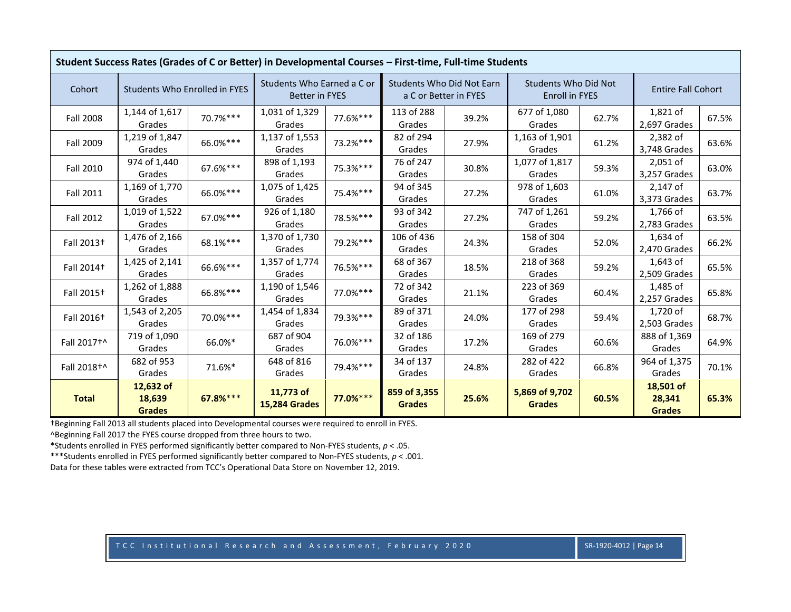|                         | Student Success Rates (Grades of C or Better) in Developmental Courses - First-time, Full-time Students |          |                                                     |          |                               |                                                           |                                               |       |                                      |       |
|-------------------------|---------------------------------------------------------------------------------------------------------|----------|-----------------------------------------------------|----------|-------------------------------|-----------------------------------------------------------|-----------------------------------------------|-------|--------------------------------------|-------|
| Cohort                  | Students Who Enrolled in FYES                                                                           |          | Students Who Earned a C or<br><b>Better in FYES</b> |          |                               | <b>Students Who Did Not Earn</b><br>a C or Better in FYES | <b>Students Who Did Not</b><br>Enroll in FYES |       | <b>Entire Fall Cohort</b>            |       |
| <b>Fall 2008</b>        | 1,144 of 1,617<br>Grades                                                                                | 70.7%*** | 1,031 of 1,329<br>Grades                            | 77.6%*** | 113 of 288<br>Grades          | 39.2%                                                     | 677 of 1,080<br>Grades                        | 62.7% | 1,821 of<br>2,697 Grades             | 67.5% |
| <b>Fall 2009</b>        | 1,219 of 1,847<br>Grades                                                                                | 66.0%*** | 1,137 of 1,553<br>Grades                            | 73.2%*** | 82 of 294<br>Grades           | 27.9%                                                     | 1,163 of 1,901<br>Grades                      | 61.2% | 2,382 of<br>3,748 Grades             | 63.6% |
| Fall 2010               | 974 of 1,440<br>Grades                                                                                  | 67.6%*** | 898 of 1,193<br>Grades                              | 75.3%*** | 76 of 247<br>Grades           | 30.8%                                                     | 1,077 of 1,817<br>Grades                      | 59.3% | $2,051$ of<br>3,257 Grades           | 63.0% |
| <b>Fall 2011</b>        | 1,169 of 1,770<br>Grades                                                                                | 66.0%*** | 1,075 of 1,425<br>Grades                            | 75.4%*** | 94 of 345<br>Grades           | 27.2%                                                     | 978 of 1,603<br>Grades                        | 61.0% | $2,147$ of<br>3,373 Grades           | 63.7% |
| <b>Fall 2012</b>        | 1,019 of 1,522<br>Grades                                                                                | 67.0%*** | 926 of 1,180<br>Grades                              | 78.5%*** | 93 of 342<br>Grades           | 27.2%                                                     | 747 of 1,261<br>Grades                        | 59.2% | 1,766 of<br>2,783 Grades             | 63.5% |
| Fall 2013 <sup>+</sup>  | 1,476 of 2,166<br>Grades                                                                                | 68.1%*** | 1,370 of 1,730<br>Grades                            | 79.2%*** | 106 of 436<br>Grades          | 24.3%                                                     | 158 of 304<br>Grades                          | 52.0% | 1,634 of<br>2,470 Grades             | 66.2% |
| Fall 2014 <sup>+</sup>  | 1,425 of 2,141<br>Grades                                                                                | 66.6%*** | 1,357 of 1,774<br>Grades                            | 76.5%*** | 68 of 367<br>Grades           | 18.5%                                                     | 218 of 368<br>Grades                          | 59.2% | 1,643 of<br>2,509 Grades             | 65.5% |
| Fall 2015 <sup>+</sup>  | 1,262 of 1,888<br>Grades                                                                                | 66.8%*** | 1,190 of 1,546<br>Grades                            | 77.0%*** | 72 of 342<br>Grades           | 21.1%                                                     | 223 of 369<br>Grades                          | 60.4% | 1,485 of<br>2,257 Grades             | 65.8% |
| Fall 2016 <sup>+</sup>  | 1,543 of 2,205<br>Grades                                                                                | 70.0%*** | 1,454 of 1,834<br>Grades                            | 79.3%*** | 89 of 371<br>Grades           | 24.0%                                                     | 177 of 298<br>Grades                          | 59.4% | 1,720 of<br>2,503 Grades             | 68.7% |
| Fall 2017 <sup>+^</sup> | 719 of 1,090<br>Grades                                                                                  | 66.0%*   | 687 of 904<br>Grades                                | 76.0%*** | 32 of 186<br>Grades           | 17.2%                                                     | 169 of 279<br>Grades                          | 60.6% | 888 of 1,369<br>Grades               | 64.9% |
| Fall 2018 <sup>+^</sup> | 682 of 953<br>Grades                                                                                    | 71.6%*   | 648 of 816<br>Grades                                | 79.4%*** | 34 of 137<br>Grades           | 24.8%                                                     | 282 of 422<br>Grades                          | 66.8% | 964 of 1,375<br>Grades               | 70.1% |
| <b>Total</b>            | 12,632 of<br>18,639<br><b>Grades</b>                                                                    | 67.8%*** | 11,773 of<br><b>15,284 Grades</b>                   | 77.0%*** | 859 of 3,355<br><b>Grades</b> | 25.6%                                                     | 5,869 of 9,702<br><b>Grades</b>               | 60.5% | 18,501 of<br>28,341<br><b>Grades</b> | 65.3% |

^Beginning Fall 2017 the FYES course dropped from three hours to two.

\*Students enrolled in FYES performed significantly better compared to Non-FYES students, *p* < .05.

\*\*\*Students enrolled in FYES performed significantly better compared to Non-FYES students, *p* < .001.

Data for these tables were extracted from TCC's Operational Data Store on November 12, 2019.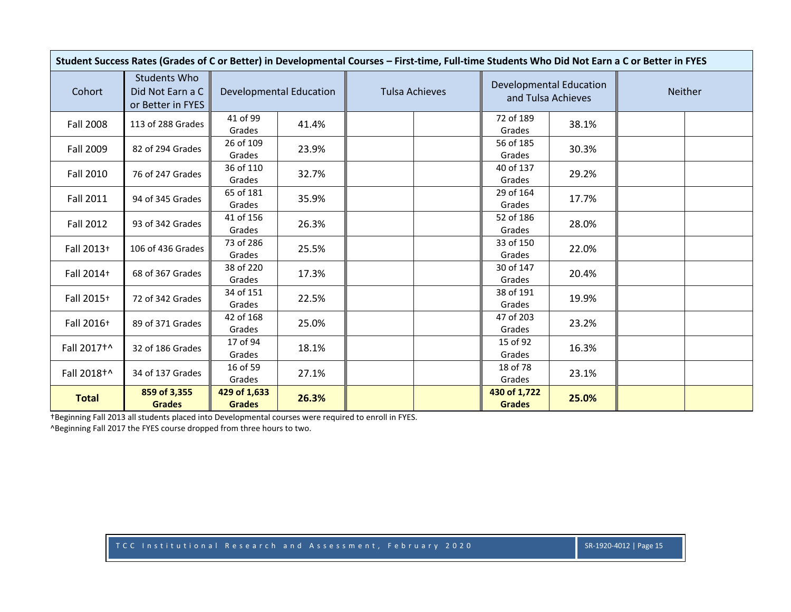|                  | Student Success Rates (Grades of C or Better) in Developmental Courses - First-time, Full-time Students Who Did Not Earn a C or Better in FYES |                               |                                |                       |                               |                                |         |  |
|------------------|------------------------------------------------------------------------------------------------------------------------------------------------|-------------------------------|--------------------------------|-----------------------|-------------------------------|--------------------------------|---------|--|
| Cohort           | Students Who<br>Did Not Earn a C<br>or Better in FYES                                                                                          |                               | <b>Developmental Education</b> | <b>Tulsa Achieves</b> | and Tulsa Achieves            | <b>Developmental Education</b> | Neither |  |
| <b>Fall 2008</b> | 113 of 288 Grades                                                                                                                              | 41 of 99<br>Grades            | 41.4%                          |                       | 72 of 189<br>Grades           | 38.1%                          |         |  |
| Fall 2009        | 82 of 294 Grades                                                                                                                               | 26 of 109<br>Grades           | 23.9%                          |                       | 56 of 185<br>Grades           | 30.3%                          |         |  |
| <b>Fall 2010</b> | 76 of 247 Grades                                                                                                                               | 36 of 110<br>Grades           | 32.7%                          |                       | 40 of 137<br>Grades           | 29.2%                          |         |  |
| <b>Fall 2011</b> | 94 of 345 Grades                                                                                                                               | 65 of 181<br>Grades           | 35.9%                          |                       | 29 of 164<br>Grades           | 17.7%                          |         |  |
| <b>Fall 2012</b> | 93 of 342 Grades                                                                                                                               | 41 of 156<br>Grades           | 26.3%                          |                       | 52 of 186<br>Grades           | 28.0%                          |         |  |
| Fall 2013+       | 106 of 436 Grades                                                                                                                              | 73 of 286<br>Grades           | 25.5%                          |                       | 33 of 150<br>Grades           | 22.0%                          |         |  |
| Fall 2014+       | 68 of 367 Grades                                                                                                                               | 38 of 220<br>Grades           | 17.3%                          |                       | 30 of 147<br>Grades           | 20.4%                          |         |  |
| Fall 2015+       | 72 of 342 Grades                                                                                                                               | 34 of 151<br>Grades           | 22.5%                          |                       | 38 of 191<br>Grades           | 19.9%                          |         |  |
| Fall 2016+       | 89 of 371 Grades                                                                                                                               | 42 of 168<br>Grades           | 25.0%                          |                       | 47 of 203<br>Grades           | 23.2%                          |         |  |
| Fall 2017+^      | 32 of 186 Grades                                                                                                                               | 17 of 94<br>Grades            | 18.1%                          |                       | 15 of 92<br>Grades            | 16.3%                          |         |  |
| Fall 2018+^      | 34 of 137 Grades                                                                                                                               | 16 of 59<br>Grades            | 27.1%                          |                       | 18 of 78<br>Grades            | 23.1%                          |         |  |
| <b>Total</b>     | 859 of 3,355<br><b>Grades</b>                                                                                                                  | 429 of 1,633<br><b>Grades</b> | 26.3%                          |                       | 430 of 1,722<br><b>Grades</b> | 25.0%                          |         |  |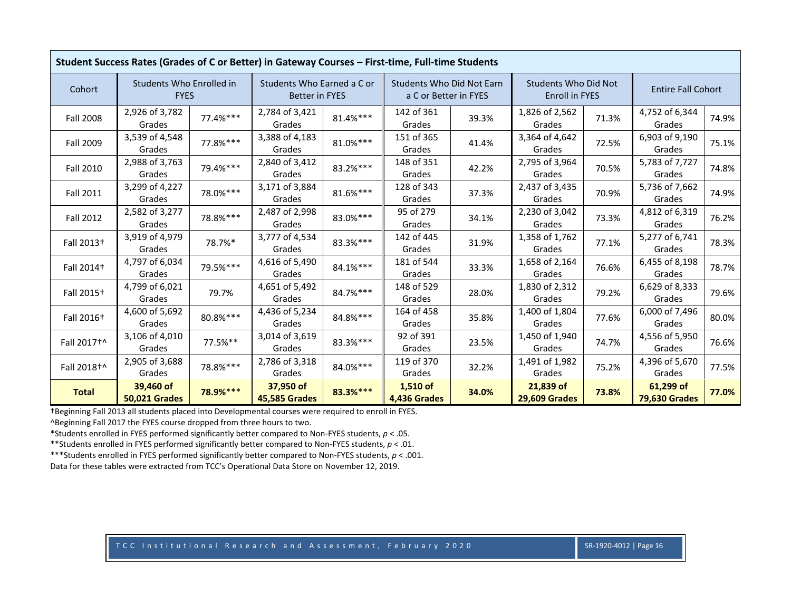|                        | Student Success Rates (Grades of C or Better) in Gateway Courses - First-time, Full-time Students |          |                                                     |             |                                                           |       |                                                      |       |                                   |       |
|------------------------|---------------------------------------------------------------------------------------------------|----------|-----------------------------------------------------|-------------|-----------------------------------------------------------|-------|------------------------------------------------------|-------|-----------------------------------|-------|
| Cohort                 | Students Who Enrolled in<br><b>FYES</b>                                                           |          | Students Who Earned a C or<br><b>Better in FYES</b> |             | <b>Students Who Did Not Earn</b><br>a C or Better in FYES |       | <b>Students Who Did Not</b><br><b>Enroll in FYES</b> |       | <b>Entire Fall Cohort</b>         |       |
| <b>Fall 2008</b>       | 2,926 of 3,782<br>Grades                                                                          | 77.4%*** | 2,784 of 3,421<br>Grades                            | $81.4\%***$ | 142 of 361<br>Grades                                      | 39.3% | 1,826 of 2,562<br>Grades                             | 71.3% | 4,752 of 6,344<br>Grades          | 74.9% |
| Fall 2009              | 3,539 of 4,548<br>Grades                                                                          | 77.8%*** | 3,388 of 4,183<br>Grades                            | $81.0\%***$ | 151 of 365<br>Grades                                      | 41.4% | 3,364 of 4,642<br>Grades                             | 72.5% | 6,903 of 9,190<br>Grades          | 75.1% |
| Fall 2010              | 2,988 of 3,763<br>Grades                                                                          | 79.4%*** | 2,840 of 3,412<br>Grades                            | 83.2%***    | 148 of 351<br>Grades                                      | 42.2% | 2,795 of 3,964<br>Grades                             | 70.5% | 5,783 of 7,727<br>Grades          | 74.8% |
| <b>Fall 2011</b>       | 3,299 of 4,227<br>Grades                                                                          | 78.0%*** | 3,171 of 3,884<br>Grades                            | 81.6%***    | 128 of 343<br>Grades                                      | 37.3% | 2,437 of 3,435<br>Grades                             | 70.9% | 5,736 of 7,662<br>Grades          | 74.9% |
| <b>Fall 2012</b>       | 2,582 of 3,277<br>Grades                                                                          | 78.8%*** | 2,487 of 2,998<br>Grades                            | 83.0%***    | 95 of 279<br>Grades                                       | 34.1% | 2,230 of 3,042<br>Grades                             | 73.3% | 4,812 of 6,319<br>Grades          | 76.2% |
| Fall 2013 <sup>+</sup> | 3,919 of 4,979<br>Grades                                                                          | 78.7%*   | 3,777 of 4,534<br>Grades                            | 83.3%***    | 142 of 445<br>Grades                                      | 31.9% | 1,358 of 1,762<br>Grades                             | 77.1% | 5,277 of 6,741<br>Grades          | 78.3% |
| Fall 2014 <sup>+</sup> | 4,797 of 6,034<br>Grades                                                                          | 79.5%*** | 4,616 of 5,490<br>Grades                            | $84.1\%***$ | 181 of 544<br>Grades                                      | 33.3% | 1,658 of 2,164<br>Grades                             | 76.6% | 6,455 of 8,198<br>Grades          | 78.7% |
| Fall 2015 <sup>+</sup> | 4,799 of 6,021<br>Grades                                                                          | 79.7%    | 4,651 of 5,492<br>Grades                            | 84.7%***    | 148 of 529<br>Grades                                      | 28.0% | 1,830 of 2,312<br>Grades                             | 79.2% | 6,629 of 8,333<br>Grades          | 79.6% |
| Fall 2016 <sup>+</sup> | 4,600 of 5,692<br>Grades                                                                          | 80.8%*** | 4,436 of 5,234<br>Grades                            | 84.8%***    | 164 of 458<br>Grades                                      | 35.8% | 1,400 of 1,804<br>Grades                             | 77.6% | 6,000 of 7,496<br>Grades          | 80.0% |
| Fall 2017+^            | 3,106 of 4,010<br>Grades                                                                          | 77.5%**  | 3,014 of 3,619<br>Grades                            | 83.3%***    | 92 of 391<br>Grades                                       | 23.5% | 1,450 of 1,940<br>Grades                             | 74.7% | 4,556 of 5,950<br>Grades          | 76.6% |
| Fall 2018+^            | 2,905 of 3,688<br>Grades                                                                          | 78.8%*** | 2,786 of 3,318<br>Grades                            | 84.0%***    | 119 of 370<br>Grades                                      | 32.2% | 1,491 of 1,982<br>Grades                             | 75.2% | 4,396 of 5,670<br>Grades          | 77.5% |
| <b>Total</b>           | 39,460 of<br><b>50,021 Grades</b>                                                                 | 78.9%*** | 37,950 of<br><b>45,585 Grades</b>                   | 83.3%***    | $1,510$ of<br>4,436 Grades                                | 34.0% | 21,839 of<br><b>29,609 Grades</b>                    | 73.8% | 61,299 of<br><b>79,630 Grades</b> | 77.0% |

^Beginning Fall 2017 the FYES course dropped from three hours to two.

\*Students enrolled in FYES performed significantly better compared to Non-FYES students, *p* < .05.

\*\*Students enrolled in FYES performed significantly better compared to Non-FYES students, *p* < .01.

\*\*\*Students enrolled in FYES performed significantly better compared to Non-FYES students, *p* < .001.

Data for these tables were extracted from TCC's Operational Data Store on November 12, 2019.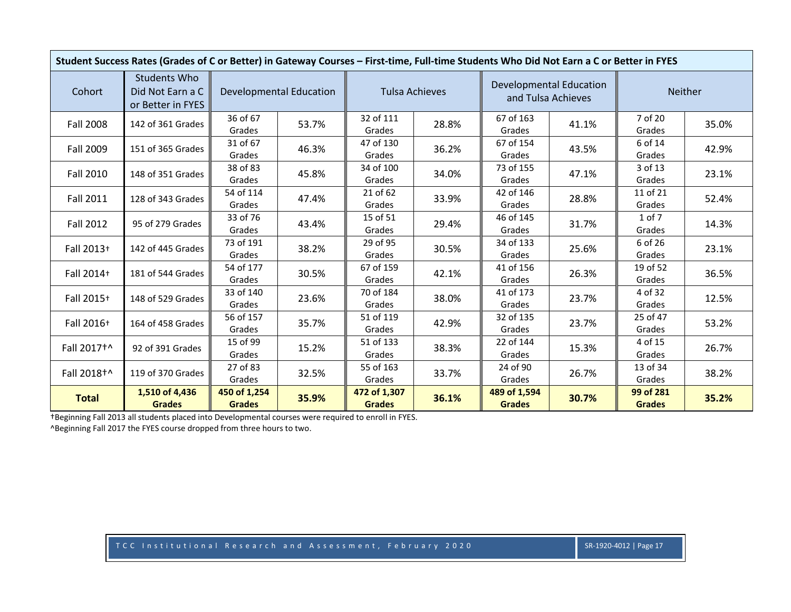|                  | Student Success Rates (Grades of C or Better) in Gateway Courses - First-time, Full-time Students Who Did Not Earn a C or Better in FYES |                               |                                |                               |       |                               |                                                      |                            |       |
|------------------|------------------------------------------------------------------------------------------------------------------------------------------|-------------------------------|--------------------------------|-------------------------------|-------|-------------------------------|------------------------------------------------------|----------------------------|-------|
| Cohort           | <b>Students Who</b><br>Did Not Earn a C<br>or Better in FYES                                                                             |                               | <b>Developmental Education</b> | <b>Tulsa Achieves</b>         |       |                               | <b>Developmental Education</b><br>and Tulsa Achieves | <b>Neither</b>             |       |
| <b>Fall 2008</b> | 142 of 361 Grades                                                                                                                        | 36 of 67<br>Grades            | 53.7%                          | 32 of 111<br>Grades           | 28.8% | 67 of 163<br>Grades           | 41.1%                                                | 7 of 20<br>Grades          | 35.0% |
| Fall 2009        | 151 of 365 Grades                                                                                                                        | 31 of 67<br>Grades            | 46.3%                          | 47 of 130<br>Grades           | 36.2% | 67 of 154<br>Grades           | 43.5%                                                | 6 of 14<br>Grades          | 42.9% |
| <b>Fall 2010</b> | 148 of 351 Grades                                                                                                                        | 38 of 83<br>Grades            | 45.8%                          | 34 of 100<br>Grades           | 34.0% | 73 of 155<br>Grades           | 47.1%                                                | 3 of 13<br>Grades          | 23.1% |
| Fall 2011        | 128 of 343 Grades                                                                                                                        | 54 of 114<br>Grades           | 47.4%                          | 21 of 62<br>Grades            | 33.9% | 42 of 146<br>Grades           | 28.8%                                                | 11 of 21<br>Grades         | 52.4% |
| <b>Fall 2012</b> | 95 of 279 Grades                                                                                                                         | 33 of 76<br>Grades            | 43.4%                          | 15 of 51<br>Grades            | 29.4% | 46 of 145<br>Grades           | 31.7%                                                | 1 of 7<br>Grades           | 14.3% |
| Fall 2013+       | 142 of 445 Grades                                                                                                                        | 73 of 191<br>Grades           | 38.2%                          | 29 of 95<br>Grades            | 30.5% | 34 of 133<br>Grades           | 25.6%                                                | 6 of 26<br>Grades          | 23.1% |
| Fall 2014+       | 181 of 544 Grades                                                                                                                        | 54 of 177<br>Grades           | 30.5%                          | 67 of 159<br>Grades           | 42.1% | 41 of 156<br>Grades           | 26.3%                                                | 19 of 52<br>Grades         | 36.5% |
| Fall 2015+       | 148 of 529 Grades                                                                                                                        | 33 of 140<br>Grades           | 23.6%                          | 70 of 184<br>Grades           | 38.0% | 41 of 173<br>Grades           | 23.7%                                                | 4 of 32<br>Grades          | 12.5% |
| Fall 2016+       | 164 of 458 Grades                                                                                                                        | 56 of 157<br>Grades           | 35.7%                          | 51 of 119<br>Grades           | 42.9% | 32 of 135<br>Grades           | 23.7%                                                | 25 of 47<br>Grades         | 53.2% |
| Fall 2017+^      | 92 of 391 Grades                                                                                                                         | 15 of 99<br>Grades            | 15.2%                          | 51 of 133<br>Grades           | 38.3% | 22 of 144<br>Grades           | 15.3%                                                | 4 of 15<br>Grades          | 26.7% |
| Fall 2018+^      | 119 of 370 Grades                                                                                                                        | 27 of 83<br>Grades            | 32.5%                          | 55 of 163<br>Grades           | 33.7% | 24 of 90<br>Grades            | 26.7%                                                | 13 of 34<br>Grades         | 38.2% |
| <b>Total</b>     | 1,510 of 4,436<br><b>Grades</b>                                                                                                          | 450 of 1,254<br><b>Grades</b> | 35.9%                          | 472 of 1,307<br><b>Grades</b> | 36.1% | 489 of 1,594<br><b>Grades</b> | 30.7%                                                | 99 of 281<br><b>Grades</b> | 35.2% |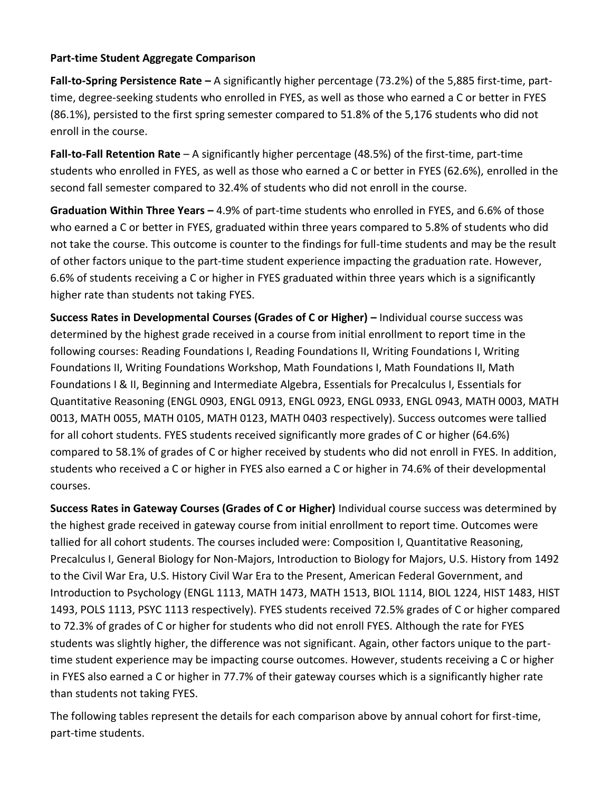# **Part-time Student Aggregate Comparison**

**Fall-to-Spring Persistence Rate –** A significantly higher percentage (73.2%) of the 5,885 first-time, parttime, degree-seeking students who enrolled in FYES, as well as those who earned a C or better in FYES (86.1%), persisted to the first spring semester compared to 51.8% of the 5,176 students who did not enroll in the course.

**Fall-to-Fall Retention Rate** – A significantly higher percentage (48.5%) of the first-time, part-time students who enrolled in FYES, as well as those who earned a C or better in FYES (62.6%), enrolled in the second fall semester compared to 32.4% of students who did not enroll in the course.

**Graduation Within Three Years –** 4.9% of part-time students who enrolled in FYES, and 6.6% of those who earned a C or better in FYES, graduated within three years compared to 5.8% of students who did not take the course. This outcome is counter to the findings for full-time students and may be the result of other factors unique to the part-time student experience impacting the graduation rate. However, 6.6% of students receiving a C or higher in FYES graduated within three years which is a significantly higher rate than students not taking FYES.

**Success Rates in Developmental Courses (Grades of C or Higher) –** Individual course success was determined by the highest grade received in a course from initial enrollment to report time in the following courses: Reading Foundations I, Reading Foundations II, Writing Foundations I, Writing Foundations II, Writing Foundations Workshop, Math Foundations I, Math Foundations II, Math Foundations I & II, Beginning and Intermediate Algebra, Essentials for Precalculus I, Essentials for Quantitative Reasoning (ENGL 0903, ENGL 0913, ENGL 0923, ENGL 0933, ENGL 0943, MATH 0003, MATH 0013, MATH 0055, MATH 0105, MATH 0123, MATH 0403 respectively). Success outcomes were tallied for all cohort students. FYES students received significantly more grades of C or higher (64.6%) compared to 58.1% of grades of C or higher received by students who did not enroll in FYES. In addition, students who received a C or higher in FYES also earned a C or higher in 74.6% of their developmental courses.

**Success Rates in Gateway Courses (Grades of C or Higher)** Individual course success was determined by the highest grade received in gateway course from initial enrollment to report time. Outcomes were tallied for all cohort students. The courses included were: Composition I, Quantitative Reasoning, Precalculus I, General Biology for Non-Majors, Introduction to Biology for Majors, U.S. History from 1492 to the Civil War Era, U.S. History Civil War Era to the Present, American Federal Government, and Introduction to Psychology (ENGL 1113, MATH 1473, MATH 1513, BIOL 1114, BIOL 1224, HIST 1483, HIST 1493, POLS 1113, PSYC 1113 respectively). FYES students received 72.5% grades of C or higher compared to 72.3% of grades of C or higher for students who did not enroll FYES. Although the rate for FYES students was slightly higher, the difference was not significant. Again, other factors unique to the parttime student experience may be impacting course outcomes. However, students receiving a C or higher in FYES also earned a C or higher in 77.7% of their gateway courses which is a significantly higher rate than students not taking FYES.

The following tables represent the details for each comparison above by annual cohort for first-time, part-time students.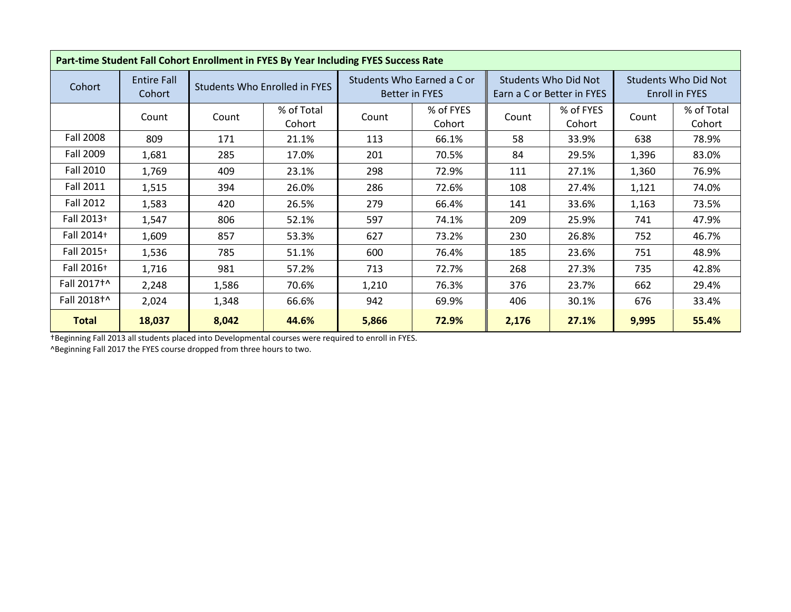|                        | Part-time Student Fall Cohort Enrollment in FYES By Year Including FYES Success Rate |       |                               |                |                                                     |       |                                                           |                                        |                      |  |  |
|------------------------|--------------------------------------------------------------------------------------|-------|-------------------------------|----------------|-----------------------------------------------------|-------|-----------------------------------------------------------|----------------------------------------|----------------------|--|--|
| Cohort                 | <b>Entire Fall</b><br>Cohort                                                         |       | Students Who Enrolled in FYES |                | Students Who Earned a C or<br><b>Better in FYES</b> |       | <b>Students Who Did Not</b><br>Earn a C or Better in FYES | Students Who Did Not<br>Enroll in FYES |                      |  |  |
|                        | Count                                                                                | Count | % of Total<br>Cohort          | Count          | % of FYES<br>Cohort                                 | Count | % of FYES<br>Cohort                                       | Count                                  | % of Total<br>Cohort |  |  |
| <b>Fall 2008</b>       | 809                                                                                  | 171   | 21.1%                         | 113            | 66.1%                                               | 58    | 33.9%                                                     | 638                                    | 78.9%                |  |  |
| Fall 2009              | 1,681                                                                                | 285   | 17.0%                         | 201            | 70.5%                                               | 84    | 29.5%                                                     | 1,396                                  | 83.0%                |  |  |
| Fall 2010              | 1,769                                                                                | 409   | 23.1%                         | 298            | 72.9%                                               | 111   | 27.1%                                                     | 1,360                                  | 76.9%                |  |  |
| <b>Fall 2011</b>       | 1,515                                                                                | 394   | 26.0%                         | 286            | 72.6%                                               | 108   | 27.4%                                                     | 1,121                                  | 74.0%                |  |  |
| <b>Fall 2012</b>       | 1,583                                                                                | 420   | 26.5%                         | 279            | 66.4%                                               | 141   | 33.6%                                                     | 1,163                                  | 73.5%                |  |  |
| Fall 2013+             | 1,547                                                                                | 806   | 52.1%                         | 597            | 74.1%                                               | 209   | 25.9%                                                     | 741                                    | 47.9%                |  |  |
| Fall 2014+             | 1,609                                                                                | 857   | 53.3%                         | 627            | 73.2%                                               | 230   | 26.8%                                                     | 752                                    | 46.7%                |  |  |
| Fall 2015+             | 1,536                                                                                | 785   | 51.1%                         | 600            | 76.4%                                               | 185   | 23.6%                                                     | 751                                    | 48.9%                |  |  |
| Fall 2016+             | 1,716                                                                                | 981   | 57.2%                         | 713            | 72.7%                                               | 268   | 27.3%                                                     | 735                                    | 42.8%                |  |  |
| Fall 2017 <sup>+</sup> | 2,248                                                                                | 1,586 | 70.6%                         | 1,210          | 76.3%                                               | 376   | 23.7%                                                     | 662                                    | 29.4%                |  |  |
| Fall 2018 <sup>+</sup> | 2,024                                                                                | 1,348 | 66.6%                         | 942<br>69.9%   |                                                     | 406   | 30.1%                                                     | 676                                    | 33.4%                |  |  |
| <b>Total</b>           | 18,037                                                                               | 8,042 | 44.6%                         | 72.9%<br>5,866 |                                                     | 2,176 | 27.1%                                                     | 9,995                                  | 55.4%                |  |  |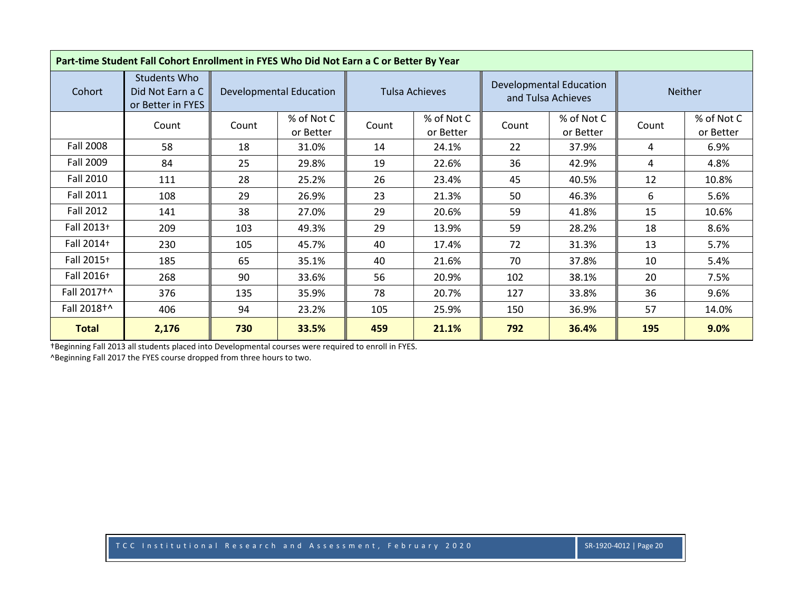| Part-time Student Fall Cohort Enrollment in FYES Who Did Not Earn a C or Better By Year |                                                              |       |                                              |                       |                         |       |                                               |       |                         |
|-----------------------------------------------------------------------------------------|--------------------------------------------------------------|-------|----------------------------------------------|-----------------------|-------------------------|-------|-----------------------------------------------|-------|-------------------------|
| Cohort                                                                                  | <b>Students Who</b><br>Did Not Earn a C<br>or Better in FYES |       | <b>Developmental Education</b>               | <b>Tulsa Achieves</b> |                         |       | Developmental Education<br>and Tulsa Achieves |       | <b>Neither</b>          |
|                                                                                         | Count                                                        | Count | % of Not C<br>or Better                      | Count                 | % of Not C<br>or Better | Count | % of Not C<br>or Better                       | Count | % of Not C<br>or Better |
| <b>Fall 2008</b>                                                                        | 58                                                           | 18    | 31.0%                                        | 14                    | 24.1%                   | 22    | 37.9%                                         | 4     | 6.9%                    |
| Fall 2009                                                                               | 84                                                           | 25    | 29.8%                                        | 19                    | 22.6%                   | 36    | 42.9%                                         | 4     | 4.8%                    |
| <b>Fall 2010</b>                                                                        | 111                                                          | 28    | 25.2%                                        | 26                    | 23.4%                   | 45    | 40.5%                                         | 12    | 10.8%                   |
| <b>Fall 2011</b>                                                                        | 108                                                          | 29    | 26.9%                                        | 23                    | 21.3%                   | 50    | 46.3%                                         | 6     | 5.6%                    |
| <b>Fall 2012</b>                                                                        | 141                                                          | 38    | 27.0%                                        | 29                    | 20.6%                   | 59    | 41.8%                                         | 15    | 10.6%                   |
| Fall 2013+                                                                              | 209                                                          | 103   | 49.3%                                        | 29                    | 13.9%                   | 59    | 28.2%                                         | 18    | 8.6%                    |
| Fall 2014+                                                                              | 230                                                          | 105   | 45.7%                                        | 40                    | 17.4%                   | 72    | 31.3%                                         | 13    | 5.7%                    |
| Fall 2015+                                                                              | 185                                                          | 65    | 35.1%                                        | 40                    | 21.6%                   | 70    | 37.8%                                         | 10    | 5.4%                    |
| Fall 2016+                                                                              | 268                                                          | 90    | 33.6%                                        | 56                    | 20.9%                   | 102   | 38.1%                                         | 20    | 7.5%                    |
| Fall 2017 <sup>+</sup>                                                                  | 376                                                          | 135   | 35.9%                                        | 78                    | 20.7%                   | 127   | 33.8%                                         | 36    | 9.6%                    |
| Fall 2018+^                                                                             | 406                                                          | 94    | 23.2%                                        | 105                   | 25.9%                   | 150   | 36.9%                                         | 57    | 14.0%                   |
| <b>Total</b>                                                                            | 2,176                                                        | 730   | 459<br>33.5%<br>21.1%<br>792<br>36.4%<br>195 |                       |                         |       |                                               |       |                         |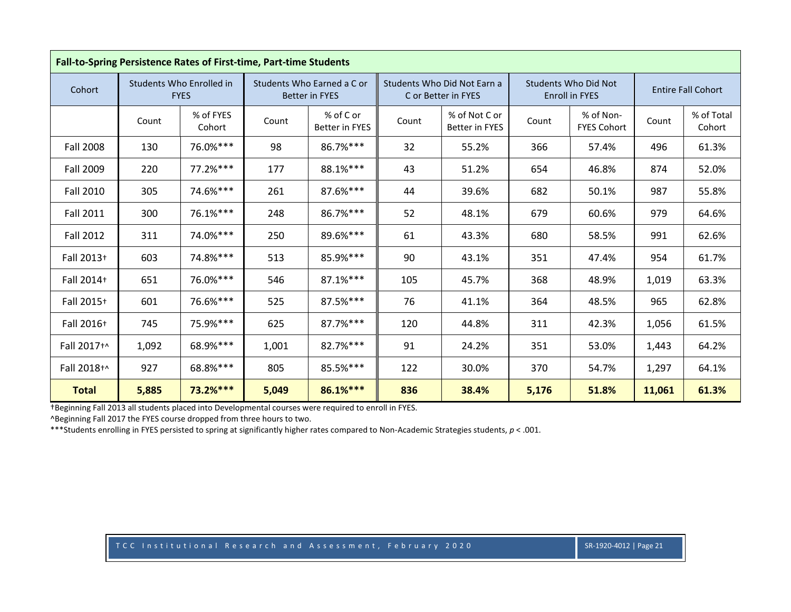|                  | Fall-to-Spring Persistence Rates of First-time, Part-time Students |                                         |                 |                                                     |       |                                                    |       |                                                      |        |                           |  |
|------------------|--------------------------------------------------------------------|-----------------------------------------|-----------------|-----------------------------------------------------|-------|----------------------------------------------------|-------|------------------------------------------------------|--------|---------------------------|--|
| Cohort           |                                                                    | Students Who Enrolled in<br><b>FYES</b> |                 | Students Who Earned a C or<br><b>Better in FYES</b> |       | Students Who Did Not Earn a<br>C or Better in FYES |       | <b>Students Who Did Not</b><br><b>Enroll in FYES</b> |        | <b>Entire Fall Cohort</b> |  |
|                  | Count                                                              | % of FYES<br>Cohort                     | Count           | % of C or<br>Better in FYES                         | Count | % of Not C or<br><b>Better in FYES</b>             | Count | % of Non-<br><b>FYES Cohort</b>                      | Count  | % of Total<br>Cohort      |  |
| <b>Fall 2008</b> | 130                                                                | 76.0%***                                | 98              | 86.7%***                                            | 32    | 55.2%                                              | 366   | 57.4%                                                | 496    | 61.3%                     |  |
| <b>Fall 2009</b> | 220                                                                | $77.2%***$                              | 177             | 88.1%***                                            |       | 51.2%                                              | 654   | 46.8%                                                | 874    | 52.0%                     |  |
| <b>Fall 2010</b> | 305                                                                | 74.6%***                                | 261             | 87.6%***                                            | 44    | 39.6%                                              | 682   | 50.1%                                                | 987    | 55.8%                     |  |
| <b>Fall 2011</b> | 300                                                                | 76.1%***                                | 248             | 86.7%***                                            | 52    | 48.1%                                              | 679   | 60.6%                                                | 979    | 64.6%                     |  |
| <b>Fall 2012</b> | 311                                                                | 74.0%***                                | 250             | 89.6%***                                            | 61    | 43.3%                                              | 680   | 58.5%                                                | 991    | 62.6%                     |  |
| Fall 2013+       | 603                                                                | 74.8%***                                | 513             | 85.9%***                                            | 90    | 43.1%                                              | 351   | 47.4%                                                | 954    | 61.7%                     |  |
| Fall 2014+       | 651                                                                | 76.0%***                                | 546             | $87.1%***$                                          | 105   | 45.7%                                              | 368   | 48.9%                                                | 1,019  | 63.3%                     |  |
| Fall 2015+       | 601                                                                | 76.6%***                                | 525             | 87.5%***                                            | 76    | 41.1%                                              | 364   | 48.5%                                                | 965    | 62.8%                     |  |
| Fall 2016+       | 745                                                                | 75.9%***                                | 625             | 87.7%***                                            | 120   | 44.8%                                              | 311   | 42.3%                                                | 1,056  | 61.5%                     |  |
| Fall 2017+^      | 1,092                                                              | 68.9%***                                | 1,001           | $82.7%***$                                          | 91    | 24.2%                                              | 351   | 53.0%                                                | 1,443  | 64.2%                     |  |
| Fall 2018+^      | 927                                                                | 68.8%***                                | 85.5%***<br>805 |                                                     | 122   | 30.0%                                              | 370   | 54.7%                                                | 1,297  | 64.1%                     |  |
| <b>Total</b>     | 5,885                                                              | 73.2%***                                | 5,049           | 86.1%***                                            | 836   | 38.4%                                              | 5,176 | 51.8%                                                | 11,061 | 61.3%                     |  |

^Beginning Fall 2017 the FYES course dropped from three hours to two.

\*\*\*Students enrolling in FYES persisted to spring at significantly higher rates compared to Non-Academic Strategies students, *p* < .001.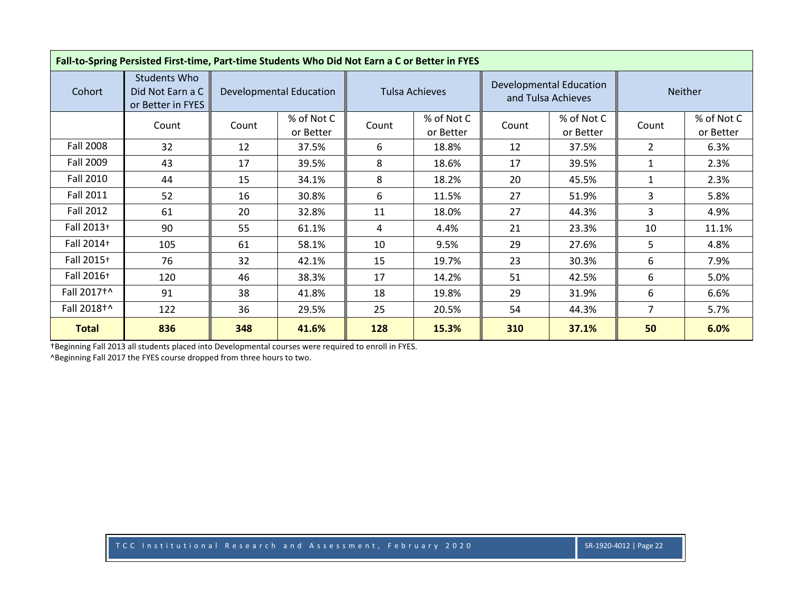| Fall-to-Spring Persisted First-time, Part-time Students Who Did Not Earn a C or Better in FYES |                                                              |       |                                |                       |                         |       |                                               |                |                         |  |
|------------------------------------------------------------------------------------------------|--------------------------------------------------------------|-------|--------------------------------|-----------------------|-------------------------|-------|-----------------------------------------------|----------------|-------------------------|--|
| Cohort                                                                                         | <b>Students Who</b><br>Did Not Earn a C<br>or Better in FYES |       | <b>Developmental Education</b> | <b>Tulsa Achieves</b> |                         |       | Developmental Education<br>and Tulsa Achieves | <b>Neither</b> |                         |  |
|                                                                                                | Count                                                        | Count | % of Not C<br>or Better        | Count                 | % of Not C<br>or Better | Count | % of Not C<br>or Better                       | Count          | % of Not C<br>or Better |  |
| <b>Fall 2008</b>                                                                               | 32                                                           | 12    | 37.5%                          | 6                     | 18.8%                   | 12    | 37.5%                                         | $\overline{2}$ | 6.3%                    |  |
| Fall 2009                                                                                      | 43                                                           | 17    | 39.5%                          | 8                     | 18.6%                   | 17    | 39.5%                                         | 1              | 2.3%                    |  |
| <b>Fall 2010</b>                                                                               | 44                                                           | 15    | 34.1%                          | 8                     | 18.2%                   | 20    | 45.5%                                         | 1              | 2.3%                    |  |
| Fall 2011                                                                                      | 52                                                           | 16    | 30.8%                          | 6                     | 11.5%                   | 27    | 51.9%                                         | 3              | 5.8%                    |  |
| Fall 2012                                                                                      | 61                                                           | 20    | 32.8%                          | 11                    | 18.0%                   | 27    | 44.3%                                         | 3              | 4.9%                    |  |
| Fall 2013+                                                                                     | 90                                                           | 55    | 61.1%                          | 4                     | 4.4%                    | 21    | 23.3%                                         | 10             | 11.1%                   |  |
| Fall 2014+                                                                                     | 105                                                          | 61    | 58.1%                          | 10                    | 9.5%                    | 29    | 27.6%                                         | 5              | 4.8%                    |  |
| Fall 2015+                                                                                     | 76                                                           | 32    | 42.1%                          | 15                    | 19.7%                   | 23    | 30.3%                                         | 6              | 7.9%                    |  |
| Fall 2016+                                                                                     | 120                                                          | 46    | 38.3%                          | 17                    | 14.2%                   | 51    | 42.5%                                         | 6              | 5.0%                    |  |
| Fall 2017 <sup>+</sup>                                                                         | 91                                                           | 38    | 41.8%                          | 18                    | 19.8%                   | 29    | 31.9%                                         | 6              | 6.6%                    |  |
| Fall 2018 <sup>+</sup>                                                                         | 122                                                          | 36    | 29.5%                          | 25                    | 20.5%                   | 54    | 44.3%                                         | $\overline{7}$ | 5.7%                    |  |
| <b>Total</b>                                                                                   | 836                                                          | 348   | 41.6%                          | 128                   | 15.3%                   | 310   | 37.1%                                         | 50             | 6.0%                    |  |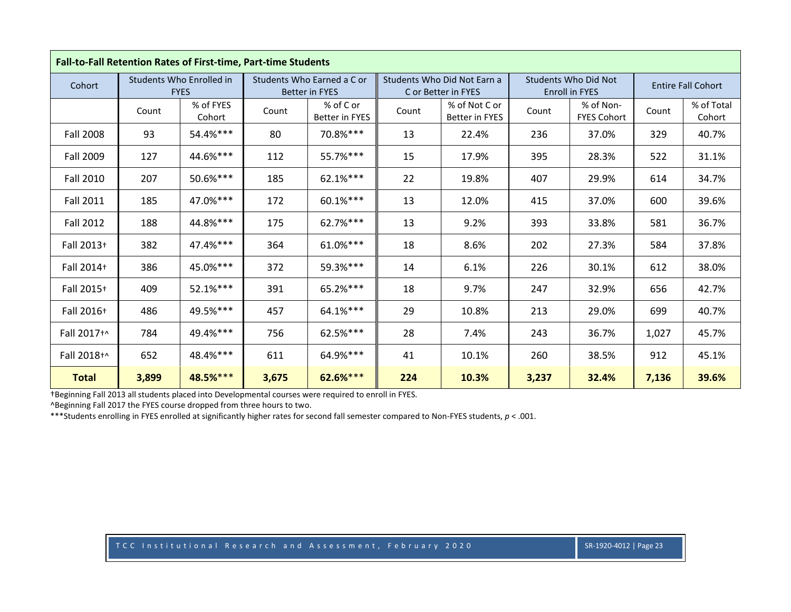|                  | Fall-to-Fall Retention Rates of First-time, Part-time Students |                                         |                 |                                                     |       |                                                    |       |                                                      |       |                           |  |
|------------------|----------------------------------------------------------------|-----------------------------------------|-----------------|-----------------------------------------------------|-------|----------------------------------------------------|-------|------------------------------------------------------|-------|---------------------------|--|
| Cohort           |                                                                | Students Who Enrolled in<br><b>FYES</b> |                 | Students Who Earned a C or<br><b>Better in FYES</b> |       | Students Who Did Not Earn a<br>C or Better in FYES |       | <b>Students Who Did Not</b><br><b>Enroll in FYES</b> |       | <b>Entire Fall Cohort</b> |  |
|                  | Count                                                          | % of FYES<br>Cohort                     | Count           | % of C or<br><b>Better in FYES</b>                  | Count | % of Not C or<br><b>Better in FYES</b>             | Count | % of Non-<br><b>FYES Cohort</b>                      | Count | % of Total<br>Cohort      |  |
| <b>Fall 2008</b> | 93                                                             | 54.4%***                                | 80              | 70.8%***                                            | 13    | 22.4%                                              | 236   | 37.0%                                                | 329   | 40.7%                     |  |
| <b>Fall 2009</b> | 127                                                            | 44.6%***                                | 112             | 55.7%***                                            | 15    | 17.9%                                              | 395   | 28.3%                                                | 522   | 31.1%                     |  |
| <b>Fall 2010</b> | 207                                                            | 50.6%***                                | 185             | 62.1%***                                            | 22    | 19.8%                                              | 407   | 29.9%                                                | 614   | 34.7%                     |  |
| <b>Fall 2011</b> | 185                                                            | 47.0%***                                | 172             | 60.1%***                                            | 13    | 12.0%                                              | 415   | 37.0%                                                | 600   | 39.6%                     |  |
| <b>Fall 2012</b> | 188                                                            | 44.8%***                                | 175             | 62.7%***                                            | 13    | 9.2%                                               | 393   | 33.8%                                                | 581   | 36.7%                     |  |
| Fall 2013+       | 382                                                            | 47.4%***                                | 364             | 61.0%***                                            | 18    | 8.6%                                               | 202   | 27.3%                                                | 584   | 37.8%                     |  |
| Fall 2014+       | 386                                                            | 45.0%***                                | 372             | 59.3%***                                            | 14    | 6.1%                                               | 226   | 30.1%                                                | 612   | 38.0%                     |  |
| Fall 2015+       | 409                                                            | 52.1%***                                | 391             | 65.2%***                                            | 18    | 9.7%                                               | 247   | 32.9%                                                | 656   | 42.7%                     |  |
| Fall 2016+       | 486                                                            | 49.5%***                                | 457             | 64.1%***                                            | 29    | 10.8%                                              | 213   | 29.0%                                                | 699   | 40.7%                     |  |
| Fall 2017+^      | 784                                                            | 49.4%***                                | 756             | 62.5%***                                            | 28    | 7.4%                                               | 243   | 36.7%                                                | 1,027 | 45.7%                     |  |
| Fall 2018+^      | 652                                                            | 48.4%***                                | 64.9%***<br>611 |                                                     | 41    | 10.1%                                              | 260   | 38.5%                                                | 912   | 45.1%                     |  |
| <b>Total</b>     | 3,899                                                          | 48.5%***                                | 3,675           | 62.6%***                                            | 224   | 10.3%                                              | 3,237 | 32.4%                                                | 7,136 | 39.6%                     |  |

^Beginning Fall 2017 the FYES course dropped from three hours to two.

\*\*\*Students enrolling in FYES enrolled at significantly higher rates for second fall semester compared to Non-FYES students,  $p < 0.001$ .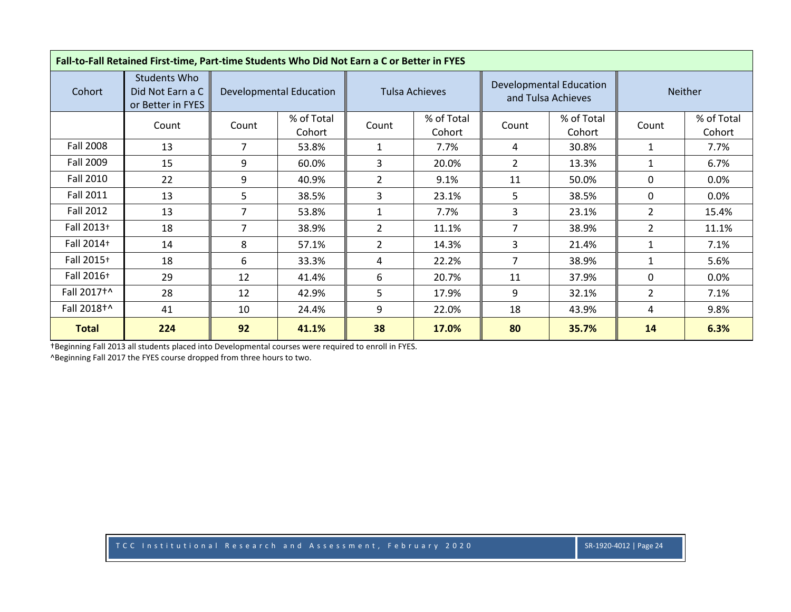|                        | Fall-to-Fall Retained First-time, Part-time Students Who Did Not Earn a C or Better in FYES |       |                                |                                          |                       |                |                                                      |                |                      |  |  |
|------------------------|---------------------------------------------------------------------------------------------|-------|--------------------------------|------------------------------------------|-----------------------|----------------|------------------------------------------------------|----------------|----------------------|--|--|
| Cohort                 | <b>Students Who</b><br>Did Not Earn a C<br>or Better in FYES                                |       | <b>Developmental Education</b> |                                          | <b>Tulsa Achieves</b> |                | <b>Developmental Education</b><br>and Tulsa Achieves | <b>Neither</b> |                      |  |  |
|                        | Count                                                                                       | Count | % of Total<br>Cohort           | % of Total<br>Count<br>Cohort            |                       | Count          | % of Total<br>Cohort                                 | Count          | % of Total<br>Cohort |  |  |
| <b>Fall 2008</b>       | 13                                                                                          | 7     | 53.8%                          |                                          | 7.7%                  | 4              | 30.8%                                                | $\mathbf{1}$   | 7.7%                 |  |  |
| Fall 2009              | 15                                                                                          | 9     | 60.0%                          | 3                                        | 20.0%                 | $\overline{2}$ | 13.3%                                                | $\mathbf{1}$   | 6.7%                 |  |  |
| <b>Fall 2010</b>       | 22                                                                                          | 9     | 40.9%                          | $\overline{2}$                           | 9.1%                  | 11             | 50.0%                                                | 0              | $0.0\%$              |  |  |
| Fall 2011              | 13                                                                                          | 5     | 38.5%                          | 3                                        | 23.1%                 | 5              | 38.5%                                                | $\mathbf{0}$   | $0.0\%$              |  |  |
| Fall 2012              | 13                                                                                          | 7     | 53.8%                          | 1                                        | 7.7%                  | 3              | 23.1%                                                | $\overline{2}$ | 15.4%                |  |  |
| Fall 2013+             | 18                                                                                          | 7     | 38.9%                          | $\overline{2}$                           | 11.1%                 | $\overline{7}$ | 38.9%                                                | $\overline{2}$ | 11.1%                |  |  |
| Fall 2014+             | 14                                                                                          | 8     | 57.1%                          | $\overline{2}$                           | 14.3%                 | 3              | 21.4%                                                | $\mathbf{1}$   | 7.1%                 |  |  |
| Fall 2015+             | 18                                                                                          | 6     | 33.3%                          | 4                                        | 22.2%                 | $\overline{7}$ | 38.9%                                                | $\mathbf{1}$   | 5.6%                 |  |  |
| Fall 2016+             | 29                                                                                          | 12    | 41.4%                          | 6                                        | 20.7%                 | 11             | 37.9%                                                | 0              | $0.0\%$              |  |  |
| Fall 2017 <sup>+</sup> | 28                                                                                          | 12    | 42.9%                          | 5                                        | 17.9%                 | 9              | 32.1%                                                | $\overline{2}$ | 7.1%                 |  |  |
| Fall 2018+^            | 41                                                                                          | 10    | 24.4%                          | 9<br>22.0%                               |                       | 18             | 43.9%                                                | 4              | 9.8%                 |  |  |
| <b>Total</b>           | 224                                                                                         | 92    | 41.1%                          | 38<br>80<br>6.3%<br>17.0%<br>35.7%<br>14 |                       |                |                                                      |                |                      |  |  |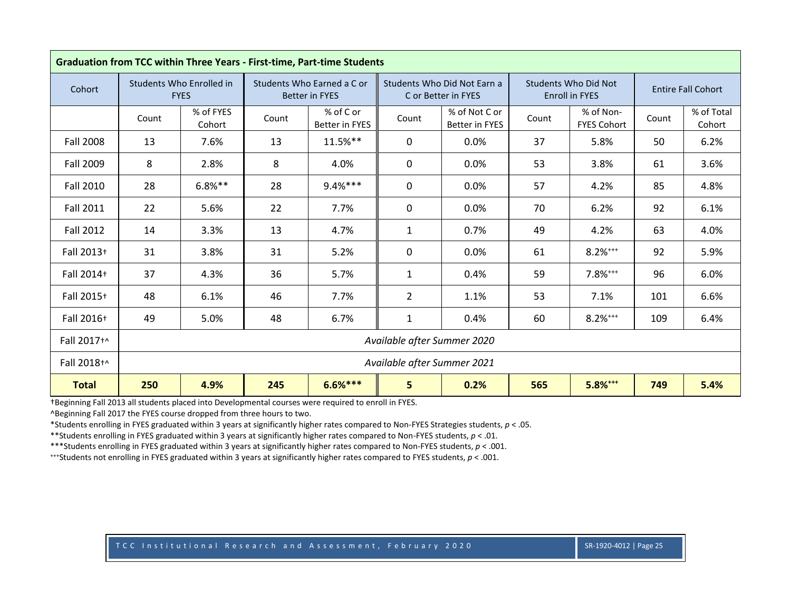|                  | <b>Graduation from TCC within Three Years - First-time, Part-time Students</b> |                                         |       |                                                     |                             |                                                    |       |                                                      |       |                           |  |  |
|------------------|--------------------------------------------------------------------------------|-----------------------------------------|-------|-----------------------------------------------------|-----------------------------|----------------------------------------------------|-------|------------------------------------------------------|-------|---------------------------|--|--|
| Cohort           |                                                                                | Students Who Enrolled in<br><b>FYES</b> |       | Students Who Earned a C or<br><b>Better in FYES</b> |                             | Students Who Did Not Earn a<br>C or Better in FYES |       | <b>Students Who Did Not</b><br><b>Enroll in FYES</b> |       | <b>Entire Fall Cohort</b> |  |  |
|                  | Count                                                                          | % of FYES<br>Cohort                     | Count | % of C or<br><b>Better in FYES</b>                  | Count                       | % of Not C or<br><b>Better in FYES</b>             | Count | % of Non-<br><b>FYES Cohort</b>                      | Count | % of Total<br>Cohort      |  |  |
| <b>Fall 2008</b> | 13                                                                             | 7.6%                                    | 13    | $11.5%$ **                                          | 0                           | 0.0%                                               | 37    | 5.8%                                                 | 50    | 6.2%                      |  |  |
| <b>Fall 2009</b> | 8                                                                              | 2.8%                                    | 8     | 4.0%                                                | 0                           | 0.0%                                               | 53    | 3.8%                                                 | 61    | 3.6%                      |  |  |
| <b>Fall 2010</b> | 28                                                                             | $6.8%***$                               | 28    | $9.4%***$                                           | $\mathbf{0}$                | 0.0%                                               | 57    | 4.2%                                                 | 85    | 4.8%                      |  |  |
| <b>Fall 2011</b> | 22                                                                             | 5.6%                                    | 22    | 7.7%                                                | 0                           | 0.0%                                               | 70    | 6.2%                                                 | 92    | 6.1%                      |  |  |
| <b>Fall 2012</b> | 14                                                                             | 3.3%                                    | 13    | 4.7%                                                | $\mathbf{1}$                | 0.7%                                               | 49    | 4.2%                                                 | 63    | 4.0%                      |  |  |
| Fall 2013+       | 31                                                                             | 3.8%                                    | 31    | 5.2%                                                | 0                           | 0.0%                                               | 61    | $8.2\%^{***}$                                        | 92    | 5.9%                      |  |  |
| Fall 2014+       | 37                                                                             | 4.3%                                    | 36    | 5.7%                                                | $\mathbf{1}$                | 0.4%                                               | 59    | $7.8%^{***}$                                         | 96    | 6.0%                      |  |  |
| Fall 2015+       | 48                                                                             | 6.1%                                    | 46    | 7.7%                                                | $\overline{2}$              | 1.1%                                               | 53    | 7.1%                                                 | 101   | 6.6%                      |  |  |
| Fall 2016+       | 49                                                                             | 5.0%                                    | 48    | 6.7%                                                | $\mathbf{1}$                | 0.4%                                               | 60    | $8.2%***$                                            | 109   | 6.4%                      |  |  |
| Fall 2017+^      |                                                                                |                                         |       |                                                     | Available after Summer 2020 |                                                    |       |                                                      |       |                           |  |  |
| Fall 2018+^      | Available after Summer 2021                                                    |                                         |       |                                                     |                             |                                                    |       |                                                      |       |                           |  |  |
| <b>Total</b>     | 250                                                                            | 4.9%                                    | 245   | $6.6%***$                                           | 5                           | 0.2%                                               | 565   | $5.8%^{***}$                                         | 749   | 5.4%                      |  |  |

^Beginning Fall 2017 the FYES course dropped from three hours to two.

\*Students enrolling in FYES graduated within 3 years at significantly higher rates compared to Non-FYES Strategies students, *p* < .05.

\*\*Students enrolling in FYES graduated within 3 years at significantly higher rates compared to Non-FYES students, *p* < .01.

\*\*\*Students enrolling in FYES graduated within 3 years at significantly higher rates compared to Non-FYES students, *p* < .001.

+++Students not enrolling in FYES graduated within 3 years at significantly higher rates compared to FYES students, *p* < .001.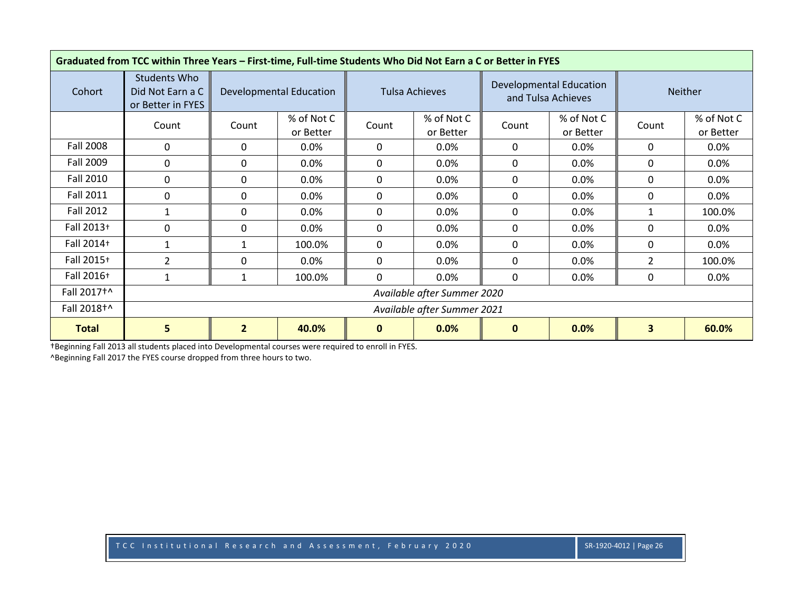| Graduated from TCC within Three Years - First-time, Full-time Students Who Did Not Earn a C or Better in FYES |                                                       |                                                                                                             |                                |              |                         |              |                                               |                |                         |  |  |
|---------------------------------------------------------------------------------------------------------------|-------------------------------------------------------|-------------------------------------------------------------------------------------------------------------|--------------------------------|--------------|-------------------------|--------------|-----------------------------------------------|----------------|-------------------------|--|--|
| Cohort                                                                                                        | Students Who<br>Did Not Earn a C<br>or Better in FYES |                                                                                                             | <b>Developmental Education</b> |              | Tulsa Achieves          |              | Developmental Education<br>and Tulsa Achieves |                | <b>Neither</b>          |  |  |
|                                                                                                               | Count                                                 | Count                                                                                                       | % of Not C<br>or Better        | Count        | % of Not C<br>or Better | Count        | % of Not C<br>or Better                       | Count          | % of Not C<br>or Better |  |  |
| <b>Fall 2008</b>                                                                                              | 0                                                     | 0                                                                                                           | $0.0\%$                        | 0            | 0.0%                    | 0            | 0.0%                                          | 0              | $0.0\%$                 |  |  |
| Fall 2009                                                                                                     | 0                                                     | 0                                                                                                           | $0.0\%$                        | 0            | 0.0%                    | $\mathbf{0}$ | 0.0%                                          | $\mathbf{0}$   | $0.0\%$                 |  |  |
| <b>Fall 2010</b>                                                                                              | 0                                                     | 0                                                                                                           | $0.0\%$                        | 0            | $0.0\%$                 | 0            | $0.0\%$                                       | 0              | $0.0\%$                 |  |  |
| <b>Fall 2011</b>                                                                                              | 0                                                     | 0                                                                                                           | $0.0\%$                        | 0            | 0.0%                    | 0            | 0.0%                                          | 0              | $0.0\%$                 |  |  |
| Fall 2012                                                                                                     | 1                                                     | $\mathbf{0}$                                                                                                | 0.0%                           | 0            | 0.0%                    | $\mathbf{0}$ | 0.0%                                          | $\mathbf{1}$   | 100.0%                  |  |  |
| Fall 2013+                                                                                                    | 0                                                     | 0                                                                                                           | $0.0\%$                        | 0            | 0.0%                    | 0            | 0.0%                                          | 0              | $0.0\%$                 |  |  |
| Fall 2014+                                                                                                    | $\mathbf{1}$                                          | $\mathbf{1}$                                                                                                | 100.0%                         | $\mathbf{0}$ | 0.0%                    | $\mathbf{0}$ | 0.0%                                          | $\mathbf{0}$   | $0.0\%$                 |  |  |
| Fall 2015+                                                                                                    | $\overline{2}$                                        | 0                                                                                                           | $0.0\%$                        | $\mathbf{0}$ | $0.0\%$                 | 0            | $0.0\%$                                       | $\overline{2}$ | 100.0%                  |  |  |
| Fall 2016+                                                                                                    | $\mathbf{1}$                                          | 1                                                                                                           | 100.0%                         | 0            | 0.0%                    | $\mathbf{0}$ | 0.0%                                          | 0              | $0.0\%$                 |  |  |
| Fall 2017 <sup>+^</sup>                                                                                       |                                                       |                                                                                                             | Available after Summer 2020    |              |                         |              |                                               |                |                         |  |  |
| Fall 2018+^                                                                                                   |                                                       | Available after Summer 2021                                                                                 |                                |              |                         |              |                                               |                |                         |  |  |
| <b>Total</b>                                                                                                  | 5                                                     | $\overline{\mathbf{3}}$<br>$\overline{2}$<br>0.0%<br>60.0%<br>40.0%<br>0.0%<br>$\mathbf{0}$<br>$\mathbf{0}$ |                                |              |                         |              |                                               |                |                         |  |  |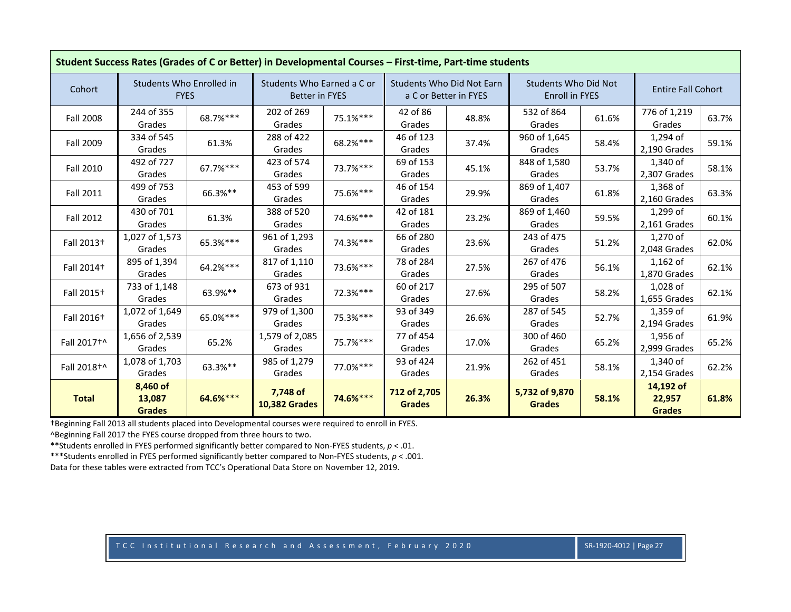|                         | Student Success Rates (Grades of C or Better) in Developmental Courses - First-time, Part-time students |          |                                                     |          |                                  |                       |                                                      |       |                                      |       |
|-------------------------|---------------------------------------------------------------------------------------------------------|----------|-----------------------------------------------------|----------|----------------------------------|-----------------------|------------------------------------------------------|-------|--------------------------------------|-------|
| Cohort                  | Students Who Enrolled in<br><b>FYES</b>                                                                 |          | Students Who Earned a C or<br><b>Better in FYES</b> |          | <b>Students Who Did Not Earn</b> | a C or Better in FYES | <b>Students Who Did Not</b><br><b>Enroll in FYES</b> |       | <b>Entire Fall Cohort</b>            |       |
| <b>Fall 2008</b>        | 244 of 355<br>Grades                                                                                    | 68.7%*** | 202 of 269<br>Grades                                | 75.1%*** | 42 of 86<br>Grades               | 48.8%                 | 532 of 864<br>Grades                                 | 61.6% | 776 of 1,219<br>Grades               | 63.7% |
| Fall 2009               | 334 of 545<br>Grades                                                                                    | 61.3%    | 288 of 422<br>Grades                                | 68.2%*** | 46 of 123<br>Grades              | 37.4%                 | 960 of 1,645<br>Grades                               | 58.4% | 1,294 of<br>2,190 Grades             | 59.1% |
| <b>Fall 2010</b>        | 492 of 727<br>Grades                                                                                    | 67.7%*** | 423 of 574<br>Grades                                | 73.7%*** | 69 of 153<br>Grades              | 45.1%                 | 848 of 1,580<br>Grades                               | 53.7% | 1,340 of<br>2,307 Grades             | 58.1% |
| <b>Fall 2011</b>        | 499 of 753<br>Grades                                                                                    | 66.3%**  | 453 of 599<br>Grades                                | 75.6%*** | 46 of 154<br>Grades              | 29.9%                 | 869 of 1,407<br>Grades                               | 61.8% | 1,368 of<br>2,160 Grades             | 63.3% |
| Fall 2012               | 430 of 701<br>Grades                                                                                    | 61.3%    | 388 of 520<br>Grades                                | 74.6%*** | 42 of 181<br>Grades              | 23.2%                 | 869 of 1,460<br>Grades                               | 59.5% | 1,299 of<br>2,161 Grades             | 60.1% |
| Fall 2013 <sup>+</sup>  | 1,027 of 1,573<br>Grades                                                                                | 65.3%*** | 961 of 1,293<br>Grades                              | 74.3%*** | 66 of 280<br>Grades              | 23.6%                 | 243 of 475<br>Grades                                 | 51.2% | 1,270 of<br>2,048 Grades             | 62.0% |
| Fall 2014+              | 895 of 1,394<br>Grades                                                                                  | 64.2%*** | 817 of 1,110<br>Grades                              | 73.6%*** | 78 of 284<br>Grades              | 27.5%                 | 267 of 476<br>Grades                                 | 56.1% | $1,162$ of<br>1,870 Grades           | 62.1% |
| Fall 2015 <sup>+</sup>  | 733 of 1,148<br>Grades                                                                                  | 63.9%**  | 673 of 931<br>Grades                                | 72.3%*** | 60 of 217<br>Grades              | 27.6%                 | 295 of 507<br>Grades                                 | 58.2% | 1,028 of<br>1,655 Grades             | 62.1% |
| Fall 2016 <sup>+</sup>  | 1,072 of 1,649<br>Grades                                                                                | 65.0%*** | 979 of 1,300<br>Grades                              | 75.3%*** | 93 of 349<br>Grades              | 26.6%                 | 287 of 545<br>Grades                                 | 52.7% | 1,359 of<br>2,194 Grades             | 61.9% |
| Fall 2017 <sup>+^</sup> | 1,656 of 2,539<br>Grades                                                                                | 65.2%    | 1,579 of 2,085<br>Grades                            | 75.7%*** | 77 of 454<br>Grades              | 17.0%                 | 300 of 460<br>Grades                                 | 65.2% | 1,956 of<br>2,999 Grades             | 65.2% |
| Fall 2018 <sup>+^</sup> | 1,078 of 1,703<br>Grades                                                                                | 63.3%**  | 985 of 1,279<br>Grades                              | 77.0%*** | 93 of 424<br>Grades              | 21.9%                 | 262 of 451<br>Grades                                 | 58.1% | 1,340 of<br>2,154 Grades             | 62.2% |
| <b>Total</b>            | 8,460 of<br>13,087<br><b>Grades</b>                                                                     | 64.6%*** | 7,748 of<br><b>10,382 Grades</b>                    | 74.6%*** | 712 of 2,705<br><b>Grades</b>    | 26.3%                 | 5,732 of 9,870<br><b>Grades</b>                      | 58.1% | 14,192 of<br>22,957<br><b>Grades</b> | 61.8% |

^Beginning Fall 2017 the FYES course dropped from three hours to two.

\*\*Students enrolled in FYES performed significantly better compared to Non-FYES students, *p* < .01.

\*\*\*Students enrolled in FYES performed significantly better compared to Non-FYES students, *p* < .001.

Data for these tables were extracted from TCC's Operational Data Store on November 12, 2019.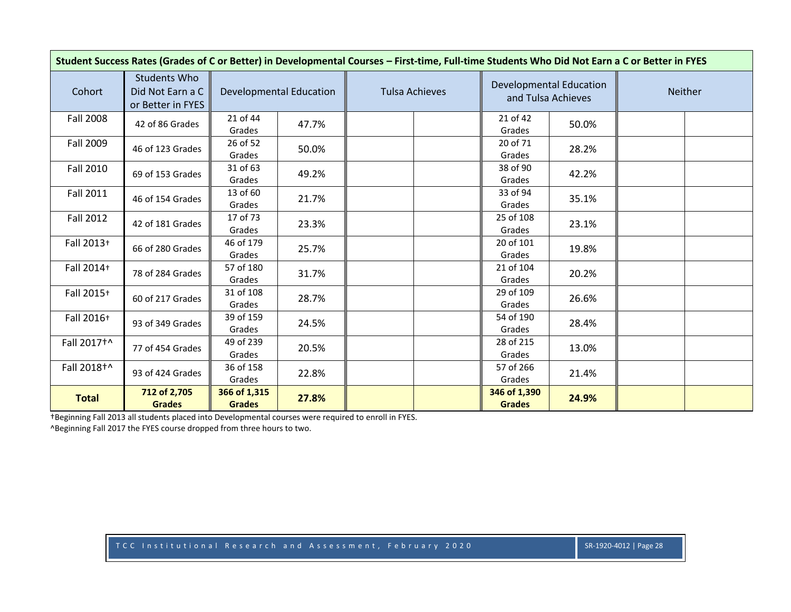| Student Success Rates (Grades of C or Better) in Developmental Courses - First-time, Full-time Students Who Did Not Earn a C or Better in FYES |                                                       |                               |                                |                       |                                                      |       |         |  |  |  |
|------------------------------------------------------------------------------------------------------------------------------------------------|-------------------------------------------------------|-------------------------------|--------------------------------|-----------------------|------------------------------------------------------|-------|---------|--|--|--|
| Cohort                                                                                                                                         | Students Who<br>Did Not Earn a C<br>or Better in FYES |                               | <b>Developmental Education</b> | <b>Tulsa Achieves</b> | <b>Developmental Education</b><br>and Tulsa Achieves |       | Neither |  |  |  |
| <b>Fall 2008</b>                                                                                                                               | 42 of 86 Grades                                       | 21 of 44<br>Grades            | 47.7%                          |                       | 21 of 42<br>Grades                                   | 50.0% |         |  |  |  |
| <b>Fall 2009</b>                                                                                                                               | 46 of 123 Grades                                      | 26 of 52<br>Grades            | 50.0%                          |                       | 20 of 71<br>Grades                                   | 28.2% |         |  |  |  |
| <b>Fall 2010</b>                                                                                                                               | 69 of 153 Grades                                      | 31 of 63<br>Grades            | 49.2%                          |                       | 38 of 90<br>Grades                                   | 42.2% |         |  |  |  |
| <b>Fall 2011</b>                                                                                                                               | 46 of 154 Grades                                      | 13 of 60<br>Grades            | 21.7%                          |                       | 33 of 94<br>Grades                                   | 35.1% |         |  |  |  |
| <b>Fall 2012</b>                                                                                                                               | 42 of 181 Grades                                      | 17 of 73<br>Grades            | 23.3%                          |                       | 25 of 108<br>Grades                                  | 23.1% |         |  |  |  |
| Fall 2013+                                                                                                                                     | 66 of 280 Grades                                      | 46 of 179<br>Grades           | 25.7%                          |                       | 20 of 101<br>Grades                                  | 19.8% |         |  |  |  |
| Fall 2014+                                                                                                                                     | 78 of 284 Grades                                      | 57 of 180<br>Grades           | 31.7%                          |                       | 21 of 104<br>Grades                                  | 20.2% |         |  |  |  |
| Fall 2015+                                                                                                                                     | 60 of 217 Grades                                      | 31 of 108<br>Grades           | 28.7%                          |                       | 29 of 109<br>Grades                                  | 26.6% |         |  |  |  |
| Fall 2016+                                                                                                                                     | 93 of 349 Grades                                      | 39 of 159<br>Grades           | 24.5%                          |                       | 54 of 190<br>Grades                                  | 28.4% |         |  |  |  |
| Fall 2017 <sup>+</sup>                                                                                                                         | 77 of 454 Grades                                      | 49 of 239<br>Grades           | 20.5%                          |                       | 28 of 215<br>Grades                                  | 13.0% |         |  |  |  |
| Fall 2018 <sup>+^</sup>                                                                                                                        | 93 of 424 Grades                                      | 36 of 158<br>Grades           | 22.8%                          |                       | 57 of 266<br>Grades                                  | 21.4% |         |  |  |  |
| <b>Total</b>                                                                                                                                   | 712 of 2,705<br><b>Grades</b>                         | 366 of 1,315<br><b>Grades</b> | 27.8%                          |                       | 346 of 1,390<br><b>Grades</b>                        | 24.9% |         |  |  |  |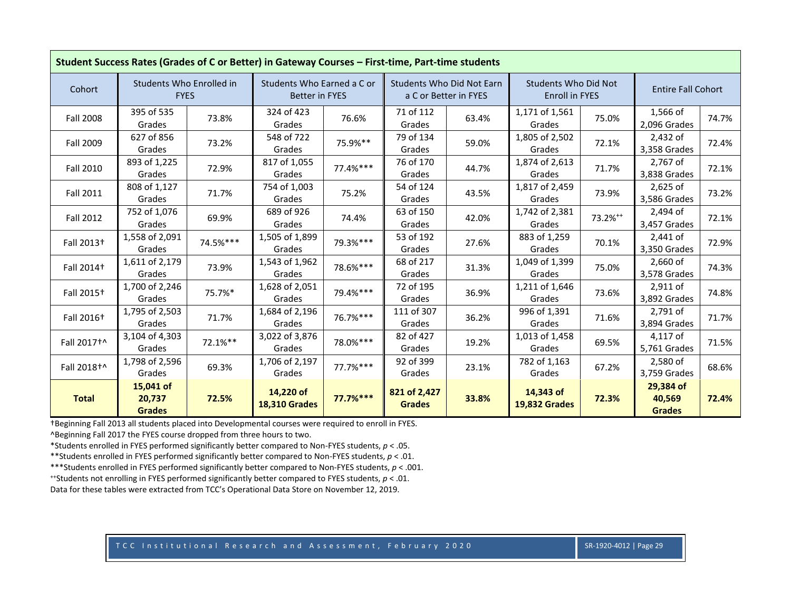|                         | Student Success Rates (Grades of C or Better) in Gateway Courses - First-time, Part-time students |          |                                                     |            |                               |                                                           |                                                      |               |                                      |       |  |  |
|-------------------------|---------------------------------------------------------------------------------------------------|----------|-----------------------------------------------------|------------|-------------------------------|-----------------------------------------------------------|------------------------------------------------------|---------------|--------------------------------------|-------|--|--|
| Cohort                  | Students Who Enrolled in<br><b>FYES</b>                                                           |          | Students Who Earned a C or<br><b>Better in FYES</b> |            |                               | <b>Students Who Did Not Earn</b><br>a C or Better in FYES | <b>Students Who Did Not</b><br><b>Enroll in FYES</b> |               | <b>Entire Fall Cohort</b>            |       |  |  |
| <b>Fall 2008</b>        | 395 of 535<br>Grades                                                                              | 73.8%    | 324 of 423<br>Grades                                | 76.6%      | 71 of 112<br>Grades           | 63.4%                                                     | 1,171 of 1,561<br>Grades                             | 75.0%         | 1,566 of<br>2,096 Grades             | 74.7% |  |  |
| Fall 2009               | 627 of 856<br>Grades                                                                              | 73.2%    | 548 of 722<br>Grades                                | 75.9%**    | 79 of 134<br>Grades           | 59.0%                                                     | 1,805 of 2,502<br>Grades                             | 72.1%         | 2,432 of<br>3,358 Grades             | 72.4% |  |  |
| <b>Fall 2010</b>        | 893 of 1,225<br>Grades                                                                            | 72.9%    | 817 of 1,055<br>Grades                              | 77.4%***   | 76 of 170<br>Grades           | 44.7%                                                     | 1,874 of 2,613<br>Grades                             | 71.7%         | 2,767 of<br>3,838 Grades             | 72.1% |  |  |
| <b>Fall 2011</b>        | 808 of 1,127<br>Grades                                                                            | 71.7%    | 754 of 1,003<br>Grades                              | 75.2%      | 54 of 124<br>Grades           | 43.5%                                                     | 1,817 of 2,459<br>Grades                             | 73.9%         | $2,625$ of<br>3,586 Grades           | 73.2% |  |  |
| <b>Fall 2012</b>        | 752 of 1,076<br>Grades                                                                            | 69.9%    | 689 of 926<br>Grades                                | 74.4%      | 63 of 150<br>Grades           | 42.0%                                                     | 1,742 of 2,381<br>Grades                             | $73.2\%^{++}$ | 2,494 of<br>3,457 Grades             | 72.1% |  |  |
| Fall 2013 <sup>+</sup>  | 1,558 of 2,091<br>Grades                                                                          | 74.5%*** | 1,505 of 1,899<br>Grades                            | 79.3%***   | 53 of 192<br>Grades           | 27.6%                                                     | 883 of 1,259<br>Grades                               | 70.1%         | 2,441 of<br>3,350 Grades             | 72.9% |  |  |
| Fall 2014 <sup>+</sup>  | 1,611 of 2,179<br>Grades                                                                          | 73.9%    | 1,543 of 1,962<br>Grades                            | 78.6%***   | 68 of 217<br>Grades           | 31.3%                                                     | 1,049 of 1,399<br>Grades                             | 75.0%         | 2,660 of<br>3,578 Grades             | 74.3% |  |  |
| Fall 2015 <sup>+</sup>  | 1,700 of 2,246<br>Grades                                                                          | 75.7%*   | 1,628 of 2,051<br>Grades                            | 79.4%***   | 72 of 195<br>Grades           | 36.9%                                                     | 1,211 of 1,646<br>Grades                             | 73.6%         | 2,911 of<br>3.892 Grades             | 74.8% |  |  |
| Fall 2016 <sup>+</sup>  | 1,795 of 2,503<br>Grades                                                                          | 71.7%    | 1,684 of 2,196<br>Grades                            | 76.7%***   | 111 of 307<br>Grades          | 36.2%                                                     | 996 of 1,391<br>Grades                               | 71.6%         | 2,791 of<br>3,894 Grades             | 71.7% |  |  |
| Fall 2017 <sup>+^</sup> | 3,104 of 4,303<br>Grades                                                                          | 72.1%**  | 3,022 of 3,876<br>Grades                            | 78.0%***   | 82 of 427<br>Grades           | 19.2%                                                     | 1,013 of 1,458<br>Grades                             | 69.5%         | 4,117 of<br>5,761 Grades             | 71.5% |  |  |
| Fall 2018+^             | 1,798 of 2,596<br>Grades                                                                          | 69.3%    | 1,706 of 2,197<br>Grades                            | 77.7%***   | 92 of 399<br>Grades           | 23.1%                                                     | 782 of 1,163<br>Grades                               | 67.2%         | 2,580 of<br>3,759 Grades             | 68.6% |  |  |
| <b>Total</b>            | 15,041 of<br>20,737<br><b>Grades</b>                                                              | 72.5%    | 14,220 of<br><b>18,310 Grades</b>                   | $77.7%***$ | 821 of 2,427<br><b>Grades</b> | 33.8%                                                     | 14,343 of<br><b>19,832 Grades</b>                    | 72.3%         | 29,384 of<br>40,569<br><b>Grades</b> | 72.4% |  |  |

^Beginning Fall 2017 the FYES course dropped from three hours to two.

\*Students enrolled in FYES performed significantly better compared to Non-FYES students, *p* < .05.

\*\*Students enrolled in FYES performed significantly better compared to Non-FYES students, *p* < .01.

\*\*\*Students enrolled in FYES performed significantly better compared to Non-FYES students, *p* < .001.

++Students not enrolling in FYES performed significantly better compared to FYES students, *p* < .01.

Data for these tables were extracted from TCC's Operational Data Store on November 12, 2019.

TCC Institutional Research and Assessment, February 2020 SR-1920-4012 | Page 29